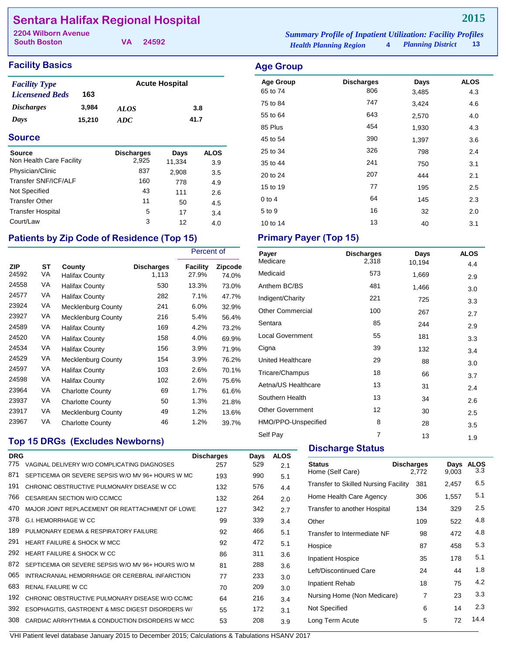## **Sentara Halifax Regional Hospital**

**South Boston**

**VA 24592**

## **Facility Basics Age Group**

| <b>Facility Type</b>     |        | <b>Acute Hospital</b> |      |  |
|--------------------------|--------|-----------------------|------|--|
| <b>Licensened Beds</b>   | 163    |                       |      |  |
| <i><b>Discharges</b></i> | 3.984  | <i>ALOS</i>           | 3.8  |  |
| Days                     | 15.210 | ADC.                  | 41.7 |  |

#### **Source**

| <b>Source</b><br>Non Health Care Facility | <b>Discharges</b><br>2.925 | Days<br>11,334 | <b>ALOS</b><br>3.9 |
|-------------------------------------------|----------------------------|----------------|--------------------|
| Physician/Clinic                          | 837                        | 2,908          | 3.5                |
| Transfer SNF/ICF/ALF                      | 160                        | 778            | 4.9                |
| Not Specified                             | 43                         | 111            | 2.6                |
| <b>Transfer Other</b>                     | 11                         | 50             | 4.5                |
| <b>Transfer Hospital</b>                  | 5                          | 17             | 3.4                |
| Court/Law                                 | 3                          | 12             | 4.0                |

## Patients by Zip Code of Residence (Top 15) Primary Payer (Top 15)

|                     |          |                          |                     | Percent of        |                         |
|---------------------|----------|--------------------------|---------------------|-------------------|-------------------------|
| <b>ZIP</b><br>24592 | SТ<br>VA | County<br>Halifax County | Discharges<br>1,113 | Facility<br>27.9% | <b>Zipcode</b><br>74.0% |
| 24558               | VA       | Halifax County           | 530                 | 13.3%             | 73.0%                   |
| 24577               | VA       | Halifax County           | 282                 | 7.1%              | 47.7%                   |
| 23924               | VA       | Mecklenburg County       | 241                 | 6.0%              | 32.9%                   |
| 23927               | VA       | Mecklenburg County       | 216                 | 5.4%              | 56.4%                   |
| 24589               | VA       | Halifax County           | 169                 | 4.2%              | 73.2%                   |
| 24520               | VA       | Halifax County           | 158                 | 4.0%              | 69.9%                   |
| 24534               | VA       | Halifax County           | 156                 | 3.9%              | 71.9%                   |
| 24529               | VA       | Mecklenburg County       | 154                 | 3.9%              | 76.2%                   |
| 24597               | VA       | Halifax County           | 103                 | 2.6%              | 70.1%                   |
| 24598               | VA       | Halifax County           | 102                 | 2.6%              | 75.6%                   |
| 23964               | VA       | <b>Charlotte County</b>  | 69                  | 1.7%              | 61.6%                   |
| 23937               | VA       | Charlotte County         | 50                  | 1.3%              | 21.8%                   |
| 23917               | VA       | Mecklenburg County       | 49                  | 1.2%              | 13.6%                   |
| 23967               | VA       | Charlotte County         | 46                  | 1.2%              | 39.7%                   |

## **Top 15 DRGs (Excludes Newborns)**

| <b>DRG</b> |                                                    | <b>Discharges</b> | Days | <b>ALOS</b> |
|------------|----------------------------------------------------|-------------------|------|-------------|
| 775        | VAGINAL DELIVERY W/O COMPLICATING DIAGNOSES        | 257               | 529  | 2.1         |
| 871        | SEPTICEMIA OR SEVERE SEPSIS W/O MV 96+ HOURS W MC  | 193               | 990  | 5.1         |
| 191        | CHRONIC OBSTRUCTIVE PULMONARY DISEASE W CC         | 132               | 576  | 4.4         |
| 766        | CESAREAN SECTION W/O CC/MCC                        | 132               | 264  | 2.0         |
| 470        | MAJOR JOINT REPLACEMENT OR REATTACHMENT OF LOWE    | 127               | 342  | 2.7         |
| 378        | <b>G.I. HEMORRHAGE W CC</b>                        | 99                | 339  | 3.4         |
| 189        | PULMONARY FDEMA & RESPIRATORY FAILURE              | 92                | 466  | 5.1         |
| 291        | <b>HEART FAILURE &amp; SHOCK W MCC</b>             | 92                | 472  | 5.1         |
| 292        | HEART FAILURE & SHOCK W CC                         | 86                | 311  | 3.6         |
| 872        | SEPTICEMIA OR SEVERE SEPSIS W/O MV 96+ HOURS W/O M | 81                | 288  | 3.6         |
| 065        | INTRACRANIAL HEMORRHAGE OR CEREBRAL INFARCTION     | 77                | 233  | 3.0         |
| 683        | <b>RENAL FAILURE W CC</b>                          | 70                | 209  | 3.0         |
| 192        | CHRONIC OBSTRUCTIVE PULMONARY DISEASE W/O CC/MC    | 64                | 216  | 3.4         |
| 392        | ESOPHAGITIS, GASTROENT & MISC DIGEST DISORDERS W/  | 55                | 172  | 3.1         |
| 308        | CARDIAC ARRHYTHMIA & CONDUCTION DISORDERS W MCC    | 53                | 208  | 3.9         |
|            |                                                    |                   |      |             |

*Health Planning Region* **4** *Planning District* **13 2204 Wilborn Avenue** *Summary Profile of Inpatient Utilization: Facility Profiles*

| <b>Age Group</b><br>65 to 74 | <b>Discharges</b><br>806 | Days<br>3,485 | <b>ALOS</b><br>4.3 |
|------------------------------|--------------------------|---------------|--------------------|
| 75 to 84                     | 747                      | 3,424         | 4.6                |
| 55 to 64                     | 643                      | 2,570         | 4.0                |
| 85 Plus                      | 454                      | 1,930         | 4.3                |
| 45 to 54                     | 390                      | 1,397         | 3.6                |
| 25 to 34                     | 326                      | 798           | 2.4                |
| 35 to 44                     | 241                      | 750           | 3.1                |
| 20 to 24                     | 207                      | 444           | 2.1                |
| 15 to 19                     | 77                       | 195           | 2.5                |
| $0$ to 4                     | 64                       | 145           | 2.3                |
| 5 to 9                       | 16                       | 32            | 2.0                |
| 10 to 14                     | 13                       | 40            | 3.1                |

| Payer                    | <b>Discharges</b> | Days   | <b>ALOS</b> |
|--------------------------|-------------------|--------|-------------|
| Medicare                 | 2,318             | 10,194 | 4.4         |
| Medicaid                 | 573               | 1,669  | 2.9         |
| Anthem BC/BS             | 481               | 1,466  | 3.0         |
| Indigent/Charity         | 221               | 725    | 3.3         |
| <b>Other Commercial</b>  | 100               | 267    | 2.7         |
| Sentara                  | 85                | 244    | 2.9         |
| <b>Local Government</b>  | 55                | 181    | 3.3         |
| Cigna                    | 39                | 132    | 3.4         |
| <b>United Healthcare</b> | 29                | 88     | 3.0         |
| Tricare/Champus          | 18                | 66     | 3.7         |
| Aetna/US Healthcare      | 13                | 31     | 2.4         |
| Southern Health          | 13                | 34     | 2.6         |
| <b>Other Government</b>  | 12                | 30     | 2.5         |
| HMO/PPO-Unspecified      | 8                 | 28     | 3.5         |
| Self Pay                 | $\overline{7}$    | 13     | 1.9         |

### **Discharge Status**

| <b>Status</b><br>Home (Self Care)    | <b>Discharges</b><br>2,772 | Days<br>9,003 | <b>ALOS</b><br>3.3 |
|--------------------------------------|----------------------------|---------------|--------------------|
| Transfer to Skilled Nursing Facility | 381                        | 2,457         | 6.5                |
| Home Health Care Agency              | 306                        | 1,557         | 5.1                |
| Transfer to another Hospital         | 134                        | 329           | 2.5                |
| Other                                | 109                        | 522           | 4.8                |
| Transfer to Intermediate NF          | 98                         | 472           | 4.8                |
| Hospice                              | 87                         | 458           | 5.3                |
| <b>Inpatient Hospice</b>             | 35                         | 178           | 5.1                |
| Left/Discontinued Care               | 24                         | 44            | 1.8                |
| Inpatient Rehab                      | 18                         | 75            | 4.2                |
| Nursing Home (Non Medicare)          | 7                          | 23            | 3.3                |
| Not Specified                        | 6                          | 14            | 2.3                |
| Long Term Acute                      | 5                          | 72            | 14.4               |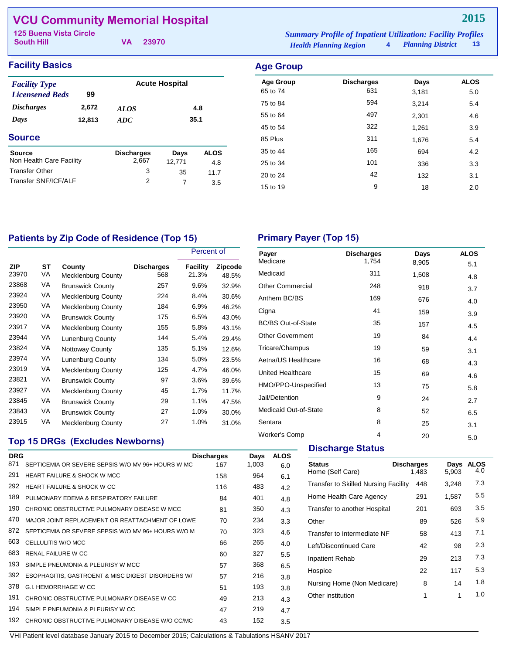## **VCU Community Memorial Hospital**

| 125 Buena Vista Circle |          |                               | <b>Summary Profile of Inpatient Utilization: Facility Profiles</b> |  |      |
|------------------------|----------|-------------------------------|--------------------------------------------------------------------|--|------|
| <b>South Hill</b>      | VA 23970 | <b>Health Planning Region</b> | 4 Planning District                                                |  | - 13 |

| <b>Facility Basics</b> | <b>Age Group</b> |
|------------------------|------------------|
|                        |                  |

| <b>Facility Type</b><br><b>Licensened Beds</b> | 99     |                   | <b>Acute Hospital</b> |             |
|------------------------------------------------|--------|-------------------|-----------------------|-------------|
| <b>Discharges</b>                              | 2,672  | <b>ALOS</b>       |                       | 4.8         |
| Days                                           | 12,813 | 35.1<br>ADC       |                       |             |
| <b>Source</b>                                  |        |                   |                       |             |
| <b>Source</b>                                  |        | <b>Discharges</b> | Days                  | <b>ALOS</b> |
| Non Health Care Facility                       |        | 2,667             | 12,771                | 4.8         |
| <b>Transfer Other</b>                          |        | 3                 | 35                    | 11.7        |
| Transfer SNF/ICF/ALF                           |        | 2                 | 7                     | 3.5         |

| iyo oi oup       |                   |       |             |
|------------------|-------------------|-------|-------------|
| <b>Age Group</b> | <b>Discharges</b> | Days  | <b>ALOS</b> |
| 65 to 74         | 631               | 3,181 | 5.0         |
| 75 to 84         | 594               | 3,214 | 5.4         |
| 55 to 64         | 497               | 2,301 | 4.6         |
| 45 to 54         | 322               | 1,261 | 3.9         |
| 85 Plus          | 311               | 1,676 | 5.4         |
| 35 to 44         | 165               | 694   | 4.2         |
| 25 to 34         | 101               | 336   | 3.3         |
| 20 to 24         | 42                | 132   | 3.1         |
| 15 to 19         | 9                 | 18    | 2.0         |
|                  |                   |       |             |

## Patients by Zip Code of Residence (Top 15) **Primary Payer (Top 15)**

|              |          |                              |                          | Percent of        |                  |
|--------------|----------|------------------------------|--------------------------|-------------------|------------------|
| ZIP<br>23970 | ST<br>VA | County<br>Mecklenburg County | <b>Discharges</b><br>568 | Facility<br>21.3% | Zipcode<br>48.5% |
| 23868        | VA       | <b>Brunswick County</b>      | 257                      | 9.6%              | 32.9%            |
| 23924        | VA       | Mecklenburg County           | 224                      | 8.4%              | 30.6%            |
| 23950        | VA       | Mecklenburg County           | 184                      | 6.9%              | 46.2%            |
| 23920        | VA       | <b>Brunswick County</b>      | 175                      | 6.5%              | 43.0%            |
| 23917        | VA       | Mecklenburg County           | 155                      | 5.8%              | 43.1%            |
| 23944        | VA       | Lunenburg County             | 144                      | 5.4%              | 29.4%            |
| 23824        | VA       | <b>Nottoway County</b>       | 135                      | 5.1%              | 12.6%            |
| 23974        | VA       | <b>Lunenburg County</b>      | 134                      | 5.0%              | 23.5%            |
| 23919        | VA       | Mecklenburg County           | 125                      | 4.7%              | 46.0%            |
| 23821        | VA       | <b>Brunswick County</b>      | 97                       | 3.6%              | 39.6%            |
| 23927        | VA       | Mecklenburg County           | 45                       | 1.7%              | 11.7%            |
| 23845        | VA       | <b>Brunswick County</b>      | 29                       | 1.1%              | 47.5%            |
| 23843        | VA       | <b>Brunswick County</b>      | 27                       | 1.0%              | 30.0%            |
| 23915        | VA       | Mecklenburg County           | 27                       | 1.0%              | 31.0%            |

| Payer<br>Medicare         | <b>Discharges</b><br>1,754 | Days<br>8,905 | <b>ALOS</b><br>5.1 |
|---------------------------|----------------------------|---------------|--------------------|
| Medicaid                  | 311                        | 1,508         | 4.8                |
| <b>Other Commercial</b>   | 248                        | 918           | 3.7                |
| Anthem BC/BS              | 169                        | 676           | 4.0                |
| Cigna                     | 41                         | 159           | 3.9                |
| <b>BC/BS Out-of-State</b> | 35                         | 157           | 4.5                |
| <b>Other Government</b>   | 19                         | 84            | 4.4                |
| Tricare/Champus           | 19                         | 59            | 3.1                |
| Aetna/US Healthcare       | 16                         | 68            | 4.3                |
| <b>United Healthcare</b>  | 15                         | 69            | 4.6                |
| HMO/PPO-Unspecified       | 13                         | 75            | 5.8                |
| Jail/Detention            | 9                          | 24            | 2.7                |
| Medicaid Out-of-State     | 8                          | 52            | 6.5                |
| Sentara                   | 8                          | 25            | 3.1                |
| Worker's Comp             | 4                          | 20            | 5.0                |

## **Top 15 DRGs (Excludes Newborns)**

| <b>DRG</b> |                                                    | <b>Discharges</b> | Days  | <b>ALOS</b> |
|------------|----------------------------------------------------|-------------------|-------|-------------|
| 871        | SEPTICEMIA OR SEVERE SEPSIS W/O MV 96+ HOURS W MC  | 167               | 1,003 | 6.0         |
| 291        | <b>HEART FAILURE &amp; SHOCK W MCC</b>             | 158               | 964   | 6.1         |
| 292        | HEART FAILURE & SHOCK W CC                         | 116               | 483   | 4.2         |
| 189        | PULMONARY FDEMA & RESPIRATORY FAILURE              | 84                | 401   | 4.8         |
| 190        | CHRONIC OBSTRUCTIVE PULMONARY DISEASE W MCC        | 81                | 350   | 4.3         |
| 470        | MAJOR JOINT REPLACEMENT OR REATTACHMENT OF LOWE    | 70                | 234   | 3.3         |
| 872        | SEPTICEMIA OR SEVERE SEPSIS W/O MV 96+ HOURS W/O M | 70                | 323   | 4.6         |
| 603        | CELLULITIS W/O MCC                                 | 66                | 265   | 4.0         |
| 683        | <b>RENAL FAILURE W CC</b>                          | 60                | 327   | 5.5         |
| 193        | SIMPLE PNEUMONIA & PLEURISY W MCC                  | 57                | 368   | 6.5         |
| 392        | ESOPHAGITIS, GASTROENT & MISC DIGEST DISORDERS W/  | 57                | 216   | 3.8         |
| 378        | G.I. HEMORRHAGE W CC                               | 51                | 193   | 3.8         |
| 191        | CHRONIC OBSTRUCTIVE PULMONARY DISEASE W CC         | 49                | 213   | 4.3         |
| 194        | SIMPLE PNEUMONIA & PLEURISY W CC                   | 47                | 219   | 4.7         |
| 192        | CHRONIC OBSTRUCTIVE PULMONARY DISEASE W/O CC/MC    | 43                | 152   | 3.5         |

## **Discharge Status**

| Status<br>Home (Self Care)                  | <b>Discharges</b><br>1,483 | Days<br>5,903 | <b>ALOS</b><br>4.0 |
|---------------------------------------------|----------------------------|---------------|--------------------|
| <b>Transfer to Skilled Nursing Facility</b> | 448                        | 3,248         | 7.3                |
| Home Health Care Agency                     | 291                        | 1,587         | 5.5                |
| Transfer to another Hospital                | 201                        | 693           | 3.5                |
| Other                                       | 89                         | 526           | 5.9                |
| Transfer to Intermediate NF                 | 58                         | 413           | 7.1                |
| Left/Discontinued Care                      | 42                         | 98            | 2.3                |
| <b>Inpatient Rehab</b>                      | 29                         | 213           | 7.3                |
| Hospice                                     | 22                         | 117           | 5.3                |
| Nursing Home (Non Medicare)                 | 8                          | 14            | 1.8                |
| Other institution                           | 1                          | 1             | 1.0                |
|                                             |                            |               |                    |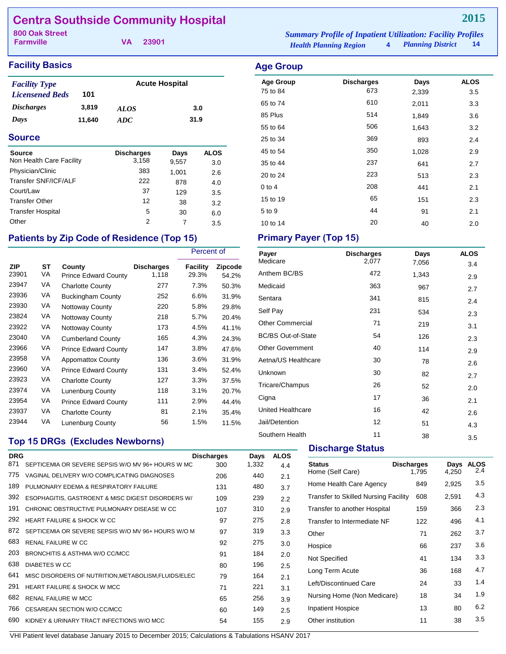## **Centra Southside Community Hospital**

**Farmville**

| <b>800 Oak Street</b> |          | <b>Summary Profile of Inpatient Utilization: Facility Profiles</b> |                     |       |
|-----------------------|----------|--------------------------------------------------------------------|---------------------|-------|
| <b>Farmville</b>      | VA 23901 | <b>Health Planning Region</b>                                      | 4 Planning District | $-14$ |

### **Facility Basics Age Group Age Group**

| <b>Facility Type</b>     |        | <b>Acute Hospital</b> |      |  |
|--------------------------|--------|-----------------------|------|--|
| <b>Licensened Beds</b>   | 101    |                       |      |  |
| <i><b>Discharges</b></i> | 3,819  | <i>ALOS</i>           | 3.0  |  |
| Days                     | 11,640 | ADC.                  | 31.9 |  |

#### **Source**

| Source                   | <b>Discharges</b> | Days  | <b>ALOS</b> |
|--------------------------|-------------------|-------|-------------|
| Non Health Care Facility | 3,158             | 9,557 | 3.0         |
| Physician/Clinic         | 383               | 1,001 | 2.6         |
| Transfer SNF/ICF/ALF     | 222               | 878   | 4.0         |
| Court/Law                | 37                | 129   | 3.5         |
| <b>Transfer Other</b>    | 12                | 38    | 3.2         |
| <b>Transfer Hospital</b> | 5                 | 30    | 6.0         |
| Other                    | 2                 | 7     | 3.5         |

## Patients by Zip Code of Residence (Top 15) Primary Payer (Top 15)

|              |          |                                       |                            | Percent of        |                  |  |  |
|--------------|----------|---------------------------------------|----------------------------|-------------------|------------------|--|--|
| ZIP<br>23901 | ST<br>VA | County<br><b>Prince Edward County</b> | <b>Discharges</b><br>1,118 | Facility<br>29.3% | Zipcode<br>54.2% |  |  |
| 23947        | VA       | <b>Charlotte County</b>               | 277                        | 7.3%              | 50.3%            |  |  |
| 23936        | VA       | <b>Buckingham County</b>              | 252                        | 6.6%              | 31.9%            |  |  |
| 23930        | VA       | <b>Nottoway County</b>                | 220                        | 5.8%              | 29.8%            |  |  |
| 23824        | VA       | Nottoway County                       | 218                        | 5.7%              | 20.4%            |  |  |
| 23922        | VA       | Nottoway County                       | 173                        | 4.5%              | 41.1%            |  |  |
| 23040        | VA       | <b>Cumberland County</b>              | 165                        | 4.3%              | 24.3%            |  |  |
| 23966        | VA       | <b>Prince Edward County</b>           | 147                        | 3.8%              | 47.6%            |  |  |
| 23958        | VA       | <b>Appomattox County</b>              | 136                        | 3.6%              | 31.9%            |  |  |
| 23960        | VA       | <b>Prince Edward County</b>           | 131                        | 3.4%              | 52.4%            |  |  |
| 23923        | VA       | <b>Charlotte County</b>               | 127                        | 3.3%              | 37.5%            |  |  |
| 23974        | VA       | <b>Lunenburg County</b>               | 118                        | 3.1%              | 20.7%            |  |  |
| 23954        | VA       | <b>Prince Edward County</b>           | 111                        | 2.9%              | 44.4%            |  |  |
| 23937        | VA       | <b>Charlotte County</b>               | 81                         | 2.1%              | 35.4%            |  |  |
| 23944        | VA       | Lunenburg County                      | 56                         | 1.5%              | 11.5%            |  |  |

## **Top 15 DRGs (Excludes Newborns)**

| <b>DRG</b> |                                                      | <b>Discharges</b> | Days  | <b>ALOS</b> |
|------------|------------------------------------------------------|-------------------|-------|-------------|
| 871        | SEPTICEMIA OR SEVERE SEPSIS W/O MV 96+ HOURS W MC    | 300               | 1,332 | 4.4         |
| 775        | VAGINAL DELIVERY W/O COMPLICATING DIAGNOSES          | 206               | 440   | 2.1         |
| 189        | PULMONARY EDEMA & RESPIRATORY FAILURE                | 131               | 480   | 3.7         |
| 392        | ESOPHAGITIS, GASTROENT & MISC DIGEST DISORDERS W/    | 109               | 239   | 2.2         |
| 191        | CHRONIC OBSTRUCTIVE PULMONARY DISEASE W CC           | 107               | 310   | 2.9         |
| 292        | HEART FAILURE & SHOCK W CC                           | 97                | 275   | 2.8         |
| 872        | SEPTICEMIA OR SEVERE SEPSIS W/O MV 96+ HOURS W/O M   | 97                | 319   | 3.3         |
| 683        | <b>RENAL FAILURE W CC</b>                            | 92                | 275   | 3.0         |
| 203        | BRONCHITIS & ASTHMA W/O CC/MCC                       | 91                | 184   | 2.0         |
| 638        | <b>DIABETES W CC</b>                                 | 80                | 196   | 2.5         |
| 641        | MISC DISORDERS OF NUTRITION, METABOLISM, FLUIDS/ELEC | 79                | 164   | 2.1         |
| 291        | <b>HEART FAILURE &amp; SHOCK W MCC</b>               | 71                | 221   | 3.1         |
| 682        | <b>RENAL FAILURE W MCC</b>                           | 65                | 256   | 3.9         |
| 766        | CESAREAN SECTION W/O CC/MCC                          | 60                | 149   | 2.5         |
| 690        | KIDNEY & URINARY TRACT INFECTIONS W/O MCC            | 54                | 155   | 2.9         |
|            |                                                      |                   |       |             |

| <b>Age Group</b> | <b>Discharges</b> | Days  | <b>ALOS</b> |
|------------------|-------------------|-------|-------------|
| 75 to 84         | 673               | 2,339 | 3.5         |
| 65 to 74         | 610               | 2,011 | 3.3         |
| 85 Plus          | 514               | 1.849 | 3.6         |
| 55 to 64         | 506               | 1,643 | 3.2         |
| 25 to 34         | 369               | 893   | 2.4         |
| 45 to 54         | 350               | 1.028 | 2.9         |

35 to 44 237 641 2.7 20 to 24 223 513 2.3 0 to 4  $208$  441  $2.1$ 15 to 19 151 151 2.3 5 to 9 1 2.1 10 to 14 20 40 2.0

| Payer<br>Medicare         | <b>Discharges</b><br>2,077 | Days  | <b>ALOS</b> |
|---------------------------|----------------------------|-------|-------------|
|                           |                            | 7,056 | 3.4         |
| Anthem BC/BS              | 472                        | 1,343 | 2.9         |
| Medicaid                  | 363                        | 967   | 2.7         |
| Sentara                   | 341                        | 815   | 2.4         |
| Self Pay                  | 231                        | 534   | 2.3         |
| <b>Other Commercial</b>   | 71                         | 219   | 3.1         |
| <b>BC/BS Out-of-State</b> | 54                         | 126   | 2.3         |
| <b>Other Government</b>   | 40                         | 114   | 2.9         |
| Aetna/US Healthcare       | 30                         | 78    | 2.6         |
| Unknown                   | 30                         | 82    | 2.7         |
| Tricare/Champus           | 26                         | 52    | 2.0         |
| Cigna                     | 17                         | 36    | 2.1         |
| <b>United Healthcare</b>  | 16                         | 42    | 2.6         |
| Jail/Detention            | 12                         | 51    | 4.3         |
| Southern Health           | 11                         | 38    | 3.5         |

#### **Discharge Status**

| <b>Status</b><br>Home (Self Care)           | <b>Discharges</b><br>1,795 | Days<br>4,250 | <b>ALOS</b><br>2.4 |
|---------------------------------------------|----------------------------|---------------|--------------------|
| Home Health Care Agency                     | 849                        | 2,925         | 3.5                |
| <b>Transfer to Skilled Nursing Facility</b> | 608                        | 2,591         | 4.3                |
| Transfer to another Hospital                | 159                        | 366           | 2.3                |
| Transfer to Intermediate NF                 | 122                        | 496           | 4.1                |
| Other                                       | 71                         | 262           | 3.7                |
| Hospice                                     | 66                         | 237           | 3.6                |
| Not Specified                               | 41                         | 134           | 3.3                |
| Long Term Acute                             | 36                         | 168           | 4.7                |
| Left/Discontinued Care                      | 24                         | 33            | 1.4                |
| Nursing Home (Non Medicare)                 | 18                         | 34            | 1.9                |
| <b>Inpatient Hospice</b>                    | 13                         | 80            | 6.2                |
| Other institution                           | 11                         | 38            | 3.5                |
|                                             |                            |               |                    |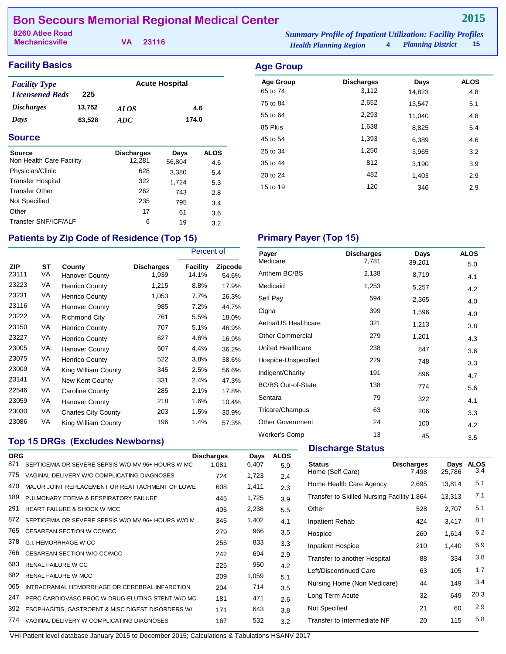## **Bon Secours Memorial Regional Medical Center**

| 8260 Atlee Road       |          | <b>Summary Profile of Inpatient Utilization: Facility Profiles</b> |                     |      |
|-----------------------|----------|--------------------------------------------------------------------|---------------------|------|
| <b>Mechanicsville</b> | VA 23116 | <b>Health Planning Region</b>                                      | 4 Planning District | - 15 |

## **Facility Basics**

| <b>Facility Type</b>   |        | <b>Acute Hospital</b> |       |
|------------------------|--------|-----------------------|-------|
| <b>Licensened Beds</b> | 225    |                       |       |
| <b>Discharges</b>      | 13,752 | <b>ALOS</b>           | 4.6   |
| Days                   | 63,528 | ADC.                  | 174.0 |

#### **Source**

| Source<br>Non Health Care Facility | <b>Discharges</b><br>12,281 | Days<br>56,804 | <b>ALOS</b><br>4.6 |
|------------------------------------|-----------------------------|----------------|--------------------|
| Physician/Clinic                   | 628                         | 3,380          | 5.4                |
| <b>Transfer Hospital</b>           | 322                         | 1,724          | 5.3                |
| <b>Transfer Other</b>              | 262                         | 743            | 2.8                |
| Not Specified                      | 235                         | 795            | 3.4                |
| Other                              | 17                          | 61             | 3.6                |
| Transfer SNF/ICF/ALF               | 6                           | 19             | 3.2                |

| <b>Age Group</b> |                   |        |             |
|------------------|-------------------|--------|-------------|
| <b>Age Group</b> | <b>Discharges</b> | Days   | <b>ALOS</b> |
| 65 to 74         | 3,112             | 14,823 | 4.8         |
| 75 to 84         | 2,652             | 13,547 | 5.1         |
| 55 to 64         | 2,293             | 11.040 | 4.8         |
| 85 Plus          | 1,638             | 8,825  | 5.4         |
| 45 to 54         | 1,393             | 6,389  | 4.6         |
| 25 to 34         | 1,250             | 3,965  | 3.2         |
| 35 to 44         | 812               | 3,190  | 3.9         |
| 20 to 24         | 482               | 1,403  | 2.9         |
| 15 to 19         | 120               | 346    | 2.9         |

## Patients by Zip Code of Residence (Top 15) Primary Payer (Top 15)

|                     |                 |                            |                            | Percent of        |                         |
|---------------------|-----------------|----------------------------|----------------------------|-------------------|-------------------------|
| <b>ZIP</b><br>23111 | <b>ST</b><br>VA | County<br>Hanover County   | <b>Discharges</b><br>1,939 | Facility<br>14.1% | <b>Zipcode</b><br>54.6% |
| 23223               | VA              | <b>Henrico County</b>      | 1,215                      | 8.8%              | 17.9%                   |
| 23231               | VA              | <b>Henrico County</b>      | 1,053                      | 7.7%              | 26.3%                   |
| 23116               | VA              | <b>Hanover County</b>      | 985                        | 7.2%              | 44.7%                   |
| 23222               | VA              | <b>Richmond City</b>       | 761                        | 5.5%              | 18.0%                   |
| 23150               | VA              | <b>Henrico County</b>      | 707                        | 5.1%              | 46.9%                   |
| 23227               | VA              | <b>Henrico County</b>      | 627                        | 4.6%              | 16.9%                   |
| 23005               | VA              | Hanover County             | 607                        | 4.4%              | 36.2%                   |
| 23075               | VA              | <b>Henrico County</b>      | 522                        | 3.8%              | 38.6%                   |
| 23009               | VA              | King William County        | 345                        | 2.5%              | 56.6%                   |
| 23141               | VA              | New Kent County            | 331                        | 2.4%              | 47.3%                   |
| 22546               | VA              | <b>Caroline County</b>     | 285                        | 2.1%              | 17.8%                   |
| 23059               | VA              | <b>Hanover County</b>      | 218                        | 1.6%              | 10.4%                   |
| 23030               | VA              | <b>Charles City County</b> | 203                        | 1.5%              | 30.9%                   |
| 23086               | VA              | King William County        | 196                        | 1.4%              | 57.3%                   |

## **Top 15 DRGs (Excludes Newborns)**

| <b>DRG</b> |                                                    | <b>Discharges</b> | Days  | <b>ALOS</b> |
|------------|----------------------------------------------------|-------------------|-------|-------------|
| 871        | SEPTICEMIA OR SEVERE SEPSIS W/O MV 96+ HOURS W MC  | 1.081             | 6,407 | 5.9         |
| 775        | VAGINAL DELIVERY W/O COMPLICATING DIAGNOSES        | 724               | 1,723 | 2.4         |
| 470        | MAJOR JOINT REPLACEMENT OR REATTACHMENT OF LOWE    | 608               | 1,411 | 2.3         |
| 189        | PULMONARY EDEMA & RESPIRATORY FAILURE              | 445               | 1,725 | 3.9         |
| 291        | <b>HEART FAILURE &amp; SHOCK W MCC</b>             | 405               | 2,238 | 5.5         |
| 872        | SEPTICEMIA OR SEVERE SEPSIS W/O MV 96+ HOURS W/O M | 345               | 1,402 | 4.1         |
| 765        | CESAREAN SECTION W CC/MCC                          | 279               | 966   | 3.5         |
| 378        | <b>G.I. HEMORRHAGE W CC</b>                        | 255               | 833   | 3.3         |
| 766        | CESAREAN SECTION W/O CC/MCC                        | 242               | 694   | 2.9         |
| 683        | <b>RENAL FAILURE W CC</b>                          | 225               | 950   | 4.2         |
| 682        | <b>RENAL FAILURE W MCC</b>                         | 209               | 1,059 | 5.1         |
| 065        | INTRACRANIAL HEMORRHAGE OR CEREBRAL INFARCTION     | 204               | 714   | 3.5         |
| 247        | PERC CARDIOVASC PROC W DRUG-ELUTING STENT W/O MC   | 181               | 471   | 2.6         |
| 392        | ESOPHAGITIS, GASTROENT & MISC DIGEST DISORDERS W/  | 171               | 643   | 3.8         |
| 774        | VAGINAL DELIVERY W COMPLICATING DIAGNOSES          | 167               | 532   | 3.2         |
|            |                                                    |                   |       |             |

| Payer                     | <b>Discharges</b> | Days   | <b>ALOS</b> |
|---------------------------|-------------------|--------|-------------|
| Medicare                  | 7,781             | 39,201 | 5.0         |
| Anthem BC/BS              | 2,138             | 8,719  | 4.1         |
| Medicaid                  | 1,253             | 5,257  | 4.2         |
| Self Pay                  | 594               | 2,365  | 4.0         |
| Cigna                     | 399               | 1,596  | 4.0         |
| Aetna/US Healthcare       | 321               | 1,213  | 3.8         |
| <b>Other Commercial</b>   | 279               | 1,201  | 4.3         |
| United Healthcare         | 238               | 847    | 3.6         |
| Hospice-Unspecified       | 229               | 748    | 3.3         |
| Indigent/Charity          | 191               | 896    | 4.7         |
| <b>BC/BS Out-of-State</b> | 138               | 774    | 5.6         |
| Sentara                   | 79                | 322    | 4.1         |
| Tricare/Champus           | 63                | 206    | 3.3         |
| <b>Other Government</b>   | 24                | 100    | 4.2         |
| <b>Worker's Comp</b>      | 13                | 45     | 3.5         |

### **Discharge Status**

| <b>Status</b><br>Home (Self Care)          | <b>Discharges</b><br>7,498 | Days<br>25,786 | <b>ALOS</b><br>3.4 |
|--------------------------------------------|----------------------------|----------------|--------------------|
| Home Health Care Agency                    | 2,695                      | 13,814         | 5.1                |
| Transfer to Skilled Nursing Facility 1,864 |                            | 13,313         | 7.1                |
| Other                                      | 528                        | 2,707          | 5.1                |
| <b>Inpatient Rehab</b>                     | 424                        | 3,417          | 8.1                |
| Hospice                                    | 260                        | 1.614          | 6.2                |
| <b>Inpatient Hospice</b>                   | 210                        | 1,440          | 6.9                |
| Transfer to another Hospital               | 88                         | 334            | 3.8                |
| Left/Discontinued Care                     | 63                         | 105            | 1.7                |
| Nursing Home (Non Medicare)                | 44                         | 149            | 3.4                |
| Long Term Acute                            | 32                         | 649            | 20.3               |
| Not Specified                              | 21                         | 60             | 2.9                |
| Transfer to Intermediate NF                | 20                         | 115            | 5.8                |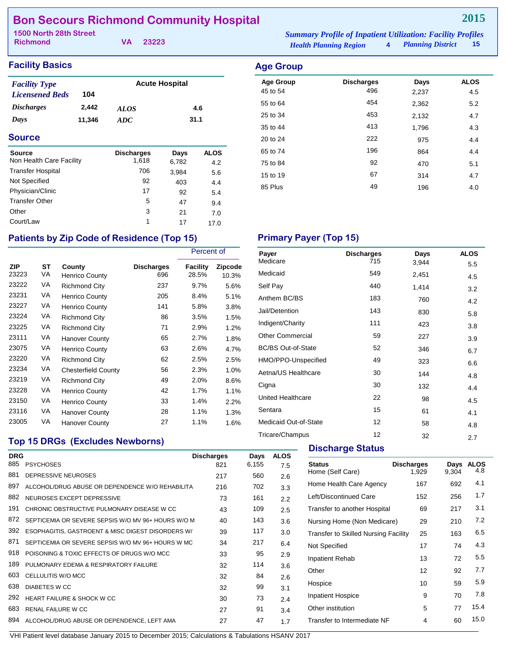## **Bon Secours Richmond Community Hospital**

| 1500 North 28th Street |  | <b>Summary Profile of Inpatient Utilization: Facility Profiles</b> |                               |                        |  |
|------------------------|--|--------------------------------------------------------------------|-------------------------------|------------------------|--|
| <b>Richmond</b>        |  | VA 23223                                                           | <b>Health Planning Region</b> | 4 Planning District 15 |  |

## **Facility Basics Age Group**

| <b>Facility Type</b>     |        | <b>Acute Hospital</b> |      |
|--------------------------|--------|-----------------------|------|
| <b>Licensened Beds</b>   | 104    |                       |      |
| <i><b>Discharges</b></i> | 2.442  | <i>ALOS</i>           | 4.6  |
| Days                     | 11,346 | ADC.                  | 31.1 |

### **Source**

| <b>Source</b><br>Non Health Care Facility | <b>Discharges</b><br>1,618 | Days<br>6,782 | <b>ALOS</b> |
|-------------------------------------------|----------------------------|---------------|-------------|
| <b>Transfer Hospital</b>                  | 706                        | 3,984         | 4.2<br>5.6  |
| Not Specified                             | 92                         | 403           | 4.4         |
| Physician/Clinic                          | 17                         | 92            | 5.4         |
| <b>Transfer Other</b>                     | 5                          | 47            | 9.4         |
| Other                                     | 3                          | 21            | 7.0         |
| Court/Law                                 | 1                          | 17            | 17.0        |

## Patients by Zip Code of Residence (Top 15) **Primary Payer (Top 15)**

|                     |          |                            |                          | Percent of               |                  |
|---------------------|----------|----------------------------|--------------------------|--------------------------|------------------|
| <b>ZIP</b><br>23223 | ST<br>VA | County<br>Henrico County   | <b>Discharges</b><br>696 | <b>Facility</b><br>28.5% | Zipcode<br>10.3% |
| 23222               | VA       | <b>Richmond City</b>       | 237                      | 9.7%                     | 5.6%             |
| 23231               | VA       | <b>Henrico County</b>      | 205                      | 8.4%                     | 5.1%             |
| 23227               | VA       | <b>Henrico County</b>      | 141                      | 5.8%                     | 3.8%             |
| 23224               | VA       | Richmond City              | 86                       | 3.5%                     | 1.5%             |
| 23225               | VA       | <b>Richmond City</b>       | 71                       | 2.9%                     | 1.2%             |
| 23111               | VA       | <b>Hanover County</b>      | 65                       | 2.7%                     | 1.8%             |
| 23075               | VA       | <b>Henrico County</b>      | 63                       | 2.6%                     | 4.7%             |
| 23220               | VA       | Richmond City              | 62                       | 2.5%                     | 2.5%             |
| 23234               | VA       | <b>Chesterfield County</b> | 56                       | 2.3%                     | 1.0%             |
| 23219               | VA       | <b>Richmond City</b>       | 49                       | 2.0%                     | 8.6%             |
| 23228               | VA       | <b>Henrico County</b>      | 42                       | 1.7%                     | 1.1%             |
| 23150               | VA       | <b>Henrico County</b>      | 33                       | 1.4%                     | 2.2%             |
| 23116               | VA       | Hanover County             | 28                       | 1.1%                     | 1.3%             |
| 23005               | VA       | <b>Hanover County</b>      | 27                       | 1.1%                     | 1.6%             |

| <b>Age Group</b> |                   |       |             |
|------------------|-------------------|-------|-------------|
| <b>Age Group</b> | <b>Discharges</b> | Days  | <b>ALOS</b> |
| 45 to 54         | 496               | 2,237 | 4.5         |
| 55 to 64         | 454               | 2,362 | 5.2         |
| 25 to 34         | 453               | 2,132 | 4.7         |
| 35 to 44         | 413               | 1,796 | 4.3         |
| 20 to 24         | 222               | 975   | 4.4         |
| 65 to 74         | 196               | 864   | 4.4         |
| 75 to 84         | 92                | 470   | 5.1         |
| 15 to 19         | 67                | 314   | 4.7         |
| 85 Plus          | 49                | 196   | 4.0         |

| Payer                     | <b>Discharges</b> | Days  | <b>ALOS</b> |
|---------------------------|-------------------|-------|-------------|
| Medicare                  | 715               | 3,944 | 5.5         |
| Medicaid                  | 549               | 2,451 | 4.5         |
| Self Pay                  | 440               | 1,414 | 3.2         |
| Anthem BC/BS              | 183               | 760   | 4.2         |
| Jail/Detention            | 143               | 830   | 5.8         |
| Indigent/Charity          | 111               | 423   | 3.8         |
| <b>Other Commercial</b>   | 59                | 227   | 3.9         |
| <b>BC/BS Out-of-State</b> | 52                | 346   | 6.7         |
| HMO/PPO-Unspecified       | 49                | 323   | 6.6         |
| Aetna/US Healthcare       | 30                | 144   | 4.8         |
| Cigna                     | 30                | 132   | 4.4         |
| <b>United Healthcare</b>  | 22                | 98    | 4.5         |
| Sentara                   | 15                | 61    | 4.1         |
| Medicaid Out-of-State     | 12                | 58    | 4.8         |
| Tricare/Champus           | 12                | 32    | 2.7         |

## **Top 15 DRGs (Excludes Newborns)**

|            | <b>TOD TO DIVOS TEACHERS NEWDOLIS!</b>             | <b>Discharge Status</b> |       |             |                                             |                   |       |                    |
|------------|----------------------------------------------------|-------------------------|-------|-------------|---------------------------------------------|-------------------|-------|--------------------|
| <b>DRG</b> |                                                    | <b>Discharges</b>       | Days  | <b>ALOS</b> |                                             |                   |       |                    |
| 885        | <b>PSYCHOSES</b>                                   | 821                     | 6,155 | 7.5         | <b>Status</b>                               | <b>Discharges</b> | Days  | <b>ALOS</b><br>4.8 |
| 881        | DEPRESSIVE NEUROSES                                | 217                     | 560   | 2.6         | Home (Self Care)                            | 1,929             | 9,304 |                    |
| 897        | ALCOHOL/DRUG ABUSE OR DEPENDENCE W/O REHABILITA    | 216                     | 702   | 3.3         | Home Health Care Agency                     | 167               | 692   | 4.1                |
| 882        | NEUROSES EXCEPT DEPRESSIVE                         | 73                      | 161   | 2.2         | Left/Discontinued Care                      | 152               | 256   | 1.7                |
| 191        | CHRONIC OBSTRUCTIVE PULMONARY DISEASE W CC         | 43                      | 109   | 2.5         | Transfer to another Hospital                | 69                | 217   | 3.1                |
| 872        | SEPTICEMIA OR SEVERE SEPSIS W/O MV 96+ HOURS W/O M | 40                      | 143   | 3.6         | Nursing Home (Non Medicare)                 | 29                | 210   | 7.2                |
| 392        | ESOPHAGITIS, GASTROENT & MISC DIGEST DISORDERS W/  | 39                      | 117   | 3.0         | <b>Transfer to Skilled Nursing Facility</b> | 25                | 163   | 6.5                |
| 871        | SEPTICEMIA OR SEVERE SEPSIS W/O MV 96+ HOURS W MC  | 34                      | 217   | 6.4         | Not Specified                               | 17                | 74    | 4.3                |
| 918        | POISONING & TOXIC EFFECTS OF DRUGS W/O MCC         | 33                      | 95    | 2.9         | Inpatient Rehab                             | 13                | 72    | 5.5                |
| 189        | PULMONARY EDEMA & RESPIRATORY FAILURE              | 32                      | 114   | 3.6         |                                             |                   |       |                    |
| 603        | CELLULITIS W/O MCC                                 | 32                      | 84    | 2.6         | Other                                       | 12                | 92    | 7.7                |
| 638        | <b>DIABETES W CC</b>                               | 32                      | 99    | 3.1         | Hospice                                     | 10                | 59    | 5.9                |
| 292        | <b>HEART FAILURE &amp; SHOCK W CC</b>              | 30                      | 73    | 2.4         | <b>Inpatient Hospice</b>                    | 9                 | 70    | 7.8                |
| 683        | <b>RENAL FAILURE W CC</b>                          | 27                      | 91    | 3.4         | Other institution                           | 5                 | 77    | 15.4               |
| 894        | ALCOHOL/DRUG ABUSE OR DEPENDENCE, LEFT AMA         | 27                      | 47    | 1.7         | Transfer to Intermediate NF                 | 4                 | 60    | 15.0               |
|            |                                                    |                         |       |             |                                             |                   |       |                    |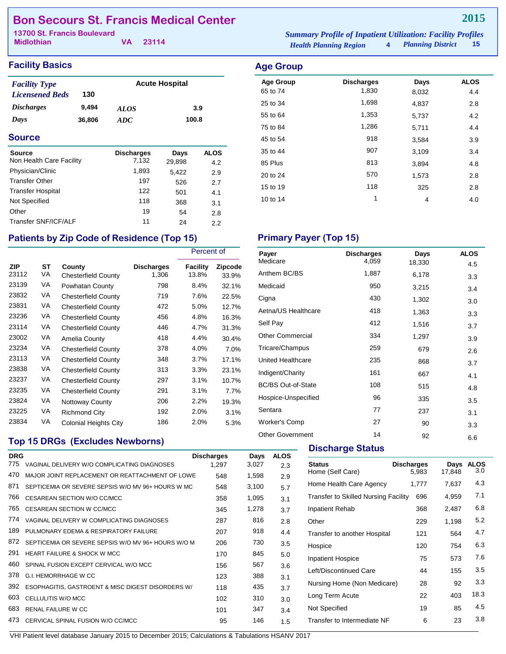## **Bon Secours St. Francis Medical Center**

| 13700 St. Francis Boulevard |  |          | <b>Summary Profile of Inpatient Utilization: Facility Profiles</b> |                     |  |      |
|-----------------------------|--|----------|--------------------------------------------------------------------|---------------------|--|------|
| <b>Midlothian</b>           |  | VA 23114 | <b>Health Planning Region</b>                                      | 4 Planning District |  | - 15 |

## **Facility Basics Age Group**

| <b>Facility Type</b>     |        | <b>Acute Hospital</b> |       |  |  |
|--------------------------|--------|-----------------------|-------|--|--|
| <b>Licensened Beds</b>   | 130    |                       |       |  |  |
| <i><b>Discharges</b></i> | 9,494  | <i>ALOS</i>           | 3.9   |  |  |
| Days                     | 36,806 | ADC.                  | 100.8 |  |  |

### **Source**

| <b>Source</b>            | <b>Discharges</b> | Days   | <b>ALOS</b> |
|--------------------------|-------------------|--------|-------------|
| Non Health Care Facility | 7,132             | 29,898 | 4.2         |
| Physician/Clinic         | 1,893             | 5,422  | 2.9         |
| <b>Transfer Other</b>    | 197               | 526    | 2.7         |
| <b>Transfer Hospital</b> | 122               | 501    | 4.1         |
| Not Specified            | 118               | 368    | 3.1         |
| Other                    | 19                | 54     | 2.8         |
| Transfer SNF/ICF/ALF     | 11                | 24     | 2.2         |

# *Health Planning Region* **4**

| <b>Age Group</b> | <b>Discharges</b> | Days  | <b>ALOS</b> |
|------------------|-------------------|-------|-------------|
| 65 to 74         | 1,830             | 8,032 | 4.4         |
| 25 to 34         | 1,698             | 4,837 | 2.8         |
| 55 to 64         | 1,353             | 5,737 | 4.2         |
| 75 to 84         | 1,286             | 5,711 | 4.4         |
| 45 to 54         | 918               | 3,584 | 3.9         |
| 35 to 44         | 907               | 3,109 | 3.4         |
| 85 Plus          | 813               | 3,894 | 4.8         |
| 20 to 24         | 570               | 1,573 | 2.8         |
| 15 to 19         | 118               | 325   | 2.8         |
| 10 to 14         | 1                 | 4     | 4.0         |
|                  |                   |       |             |

## Patients by Zip Code of Residence (Top 15) **Primary Payer (Top 15)**

|                     |          |                                      |                            | Percent of        |                  |
|---------------------|----------|--------------------------------------|----------------------------|-------------------|------------------|
| <b>ZIP</b><br>23112 | ST<br>VA | County<br><b>Chesterfield County</b> | <b>Discharges</b><br>1,306 | Facility<br>13.8% | Zipcode<br>33.9% |
| 23139               | VA       | Powhatan County                      | 798                        | 8.4%              | 32.1%            |
| 23832               | VA       | <b>Chesterfield County</b>           | 719                        | 7.6%              | 22.5%            |
| 23831               | VA       | <b>Chesterfield County</b>           | 472                        | 5.0%              | 12.7%            |
| 23236               | VA       | <b>Chesterfield County</b>           | 456                        | 4.8%              | 16.3%            |
| 23114               | VA       | <b>Chesterfield County</b>           | 446                        | 4.7%              | 31.3%            |
| 23002               | VA       | Amelia County                        | 418                        | 4.4%              | 30.4%            |
| 23234               | VA       | <b>Chesterfield County</b>           | 378                        | 4.0%              | 7.0%             |
| 23113               | VA       | <b>Chesterfield County</b>           | 348                        | 3.7%              | 17.1%            |
| 23838               | VA       | <b>Chesterfield County</b>           | 313                        | 3.3%              | 23.1%            |
| 23237               | VA       | <b>Chesterfield County</b>           | 297                        | 3.1%              | 10.7%            |
| 23235               | VA       | <b>Chesterfield County</b>           | 291                        | 3.1%              | 7.7%             |
| 23824               | VA       | Nottoway County                      | 206                        | 2.2%              | 19.3%            |
| 23225               | VA       | Richmond City                        | 192                        | 2.0%              | 3.1%             |
| 23834               | VA       | <b>Colonial Heights City</b>         | 186                        | 2.0%              | 5.3%             |

## **Top 15 DRGs (Excludes Newborns)**

| <b>DRG</b> |                                                    | <b>Discharges</b> | Days  | <b>ALOS</b> |
|------------|----------------------------------------------------|-------------------|-------|-------------|
| 775        | VAGINAL DELIVERY W/O COMPLICATING DIAGNOSES        | 1.297             | 3,027 | 2.3         |
| 470        | MAJOR JOINT REPLACEMENT OR REATTACHMENT OF LOWE    | 548               | 1,598 | 2.9         |
| 871        | SEPTICEMIA OR SEVERE SEPSIS W/O MV 96+ HOURS W MC  | 548               | 3,100 | 5.7         |
| 766        | CESAREAN SECTION W/O CC/MCC                        | 358               | 1,095 | 3.1         |
| 765        | CESAREAN SECTION W CC/MCC                          | 345               | 1,278 | 3.7         |
| 774        | VAGINAL DELIVERY W COMPLICATING DIAGNOSES          | 287               | 816   | 2.8         |
| 189        | PULMONARY FDFMA & RESPIRATORY FAILURE              | 207               | 918   | 4.4         |
| 872        | SEPTICEMIA OR SEVERE SEPSIS W/O MV 96+ HOURS W/O M | 206               | 730   | 3.5         |
| 291        | <b>HEART FAILURE &amp; SHOCK W MCC</b>             | 170               | 845   | 5.0         |
| 460        | SPINAL FUSION EXCEPT CERVICAL W/O MCC              | 156               | 567   | 3.6         |
| 378        | <b>G.I. HEMORRHAGE W CC</b>                        | 123               | 388   | 3.1         |
| 392        | ESOPHAGITIS, GASTROENT & MISC DIGEST DISORDERS W/  | 118               | 435   | 3.7         |
| 603        | CELLULITIS W/O MCC                                 | 102               | 310   | 3.0         |
| 683        | <b>RENAL FAILURE W CC</b>                          | 101               | 347   | 3.4         |
| 473        | CERVICAL SPINAL FUSION W/O CC/MCC                  | 95                | 146   | 1.5         |

| Payer                     | <b>Discharges</b> | Days   | <b>ALOS</b> |
|---------------------------|-------------------|--------|-------------|
| Medicare                  | 4,059             | 18,330 | 4.5         |
| Anthem BC/BS              | 1,887             | 6,178  | 3.3         |
| Medicaid                  | 950               | 3,215  | 3.4         |
| Cigna                     | 430               | 1,302  | 3.0         |
| Aetna/US Healthcare       | 418               | 1,363  | 3.3         |
| Self Pay                  | 412               | 1,516  | 3.7         |
| <b>Other Commercial</b>   | 334               | 1,297  | 3.9         |
| Tricare/Champus           | 259               | 679    | 2.6         |
| United Healthcare         | 235               | 868    | 3.7         |
| Indigent/Charity          | 161               | 667    | 4.1         |
| <b>BC/BS Out-of-State</b> | 108               | 515    | 4.8         |
| Hospice-Unspecified       | 96                | 335    | 3.5         |
| Sentara                   | 77                | 237    | 3.1         |
| <b>Worker's Comp</b>      | 27                | 90     | 3.3         |
| <b>Other Government</b>   | 14                | 92     | 6.6         |

## **Discharge Status**

| <b>Status</b><br>Home (Self Care)    | <b>Discharges</b><br>5,983 | Days<br>17,848 | <b>ALOS</b><br>3.0 |
|--------------------------------------|----------------------------|----------------|--------------------|
| Home Health Care Agency              | 1,777                      | 7,637          | 4.3                |
| Transfer to Skilled Nursing Facility | 696                        | 4,959          | 7.1                |
| Inpatient Rehab                      | 368                        | 2,487          | 6.8                |
| Other                                | 229                        | 1,198          | 5.2                |
| Transfer to another Hospital         | 121                        | 564            | 4.7                |
| Hospice                              | 120                        | 754            | 6.3                |
| <b>Inpatient Hospice</b>             | 75                         | 573            | 7.6                |
| Left/Discontinued Care               | 44                         | 155            | 3.5                |
| Nursing Home (Non Medicare)          | 28                         | 92             | 3.3                |
| Long Term Acute                      | 22                         | 403            | 18.3               |
| Not Specified                        | 19                         | 85             | 4.5                |
| Transfer to Intermediate NF          | 6                          | 23             | 3.8                |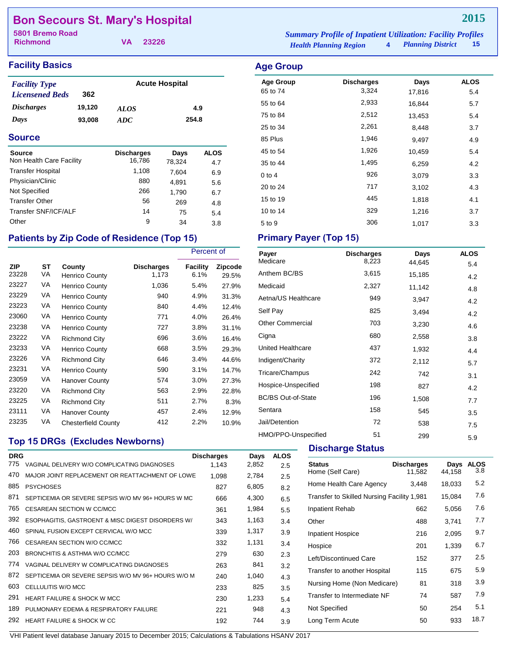## **Bon Secours St. Mary's Hospital**

**Richmond**

**VA 23226**

### **Facility Basics Age Group**

| <b>Facility Type</b>     |        | <b>Acute Hospital</b> |       |  |
|--------------------------|--------|-----------------------|-------|--|
| <b>Licensened Beds</b>   | 362    |                       |       |  |
| <i><b>Discharges</b></i> | 19.120 | <b>ALOS</b>           | 4.9   |  |
| Days                     | 93,008 | ADC                   | 254.8 |  |

#### **Source**

| <b>Source</b><br>Non Health Care Facility | <b>Discharges</b><br>16,786 | Days<br>78,324 | <b>ALOS</b><br>4.7 |
|-------------------------------------------|-----------------------------|----------------|--------------------|
| <b>Transfer Hospital</b>                  | 1,108                       | 7,604          | 6.9                |
| Physician/Clinic                          | 880                         | 4,891          | 5.6                |
| Not Specified                             | 266                         | 1,790          | 6.7                |
| <b>Transfer Other</b>                     | 56                          | 269            | 4.8                |
| Transfer SNF/ICF/ALF                      | 14                          | 75             | 5.4                |
| Other                                     | 9                           | 34             | 3.8                |

## Patients by Zip Code of Residence (Top 15) Primary Payer (Top 15)

|                     |                 |                                 |                            | Percent of              |                         |
|---------------------|-----------------|---------------------------------|----------------------------|-------------------------|-------------------------|
| <b>ZIP</b><br>23228 | <b>ST</b><br>VA | County<br><b>Henrico County</b> | <b>Discharges</b><br>1,173 | <b>Facility</b><br>6.1% | <b>Zipcode</b><br>29.5% |
| 23227               | VA              | <b>Henrico County</b>           | 1,036                      | 5.4%                    | 27.9%                   |
| 23229               | VA              | <b>Henrico County</b>           | 940                        | 4.9%                    | 31.3%                   |
| 23223               | VA              | <b>Henrico County</b>           | 840                        | 4.4%                    | 12.4%                   |
| 23060               | VA              | <b>Henrico County</b>           | 771                        | 4.0%                    | 26.4%                   |
| 23238               | VA              | <b>Henrico County</b>           | 727                        | 3.8%                    | 31.1%                   |
| 23222               | VA              | <b>Richmond City</b>            | 696                        | 3.6%                    | 16.4%                   |
| 23233               | VA              | <b>Henrico County</b>           | 668                        | 3.5%                    | 29.3%                   |
| 23226               | VA              | <b>Richmond City</b>            | 646                        | 3.4%                    | 44.6%                   |
| 23231               | VA              | <b>Henrico County</b>           | 590                        | 3.1%                    | 14.7%                   |
| 23059               | VA              | <b>Hanover County</b>           | 574                        | 3.0%                    | 27.3%                   |
| 23220               | VA              | <b>Richmond City</b>            | 563                        | 2.9%                    | 22.8%                   |
| 23225               | VA              | <b>Richmond City</b>            | 511                        | 2.7%                    | 8.3%                    |
| 23111               | VA              | Hanover County                  | 457                        | 2.4%                    | 12.9%                   |
| 23235               | VA              | <b>Chesterfield County</b>      | 412                        | 2.2%                    | 10.9%                   |

## **Top 15 DRGs (Excludes Newborns)**

| <b>DRG</b> |                                                    | <b>Discharges</b> | Days  | <b>ALOS</b> |
|------------|----------------------------------------------------|-------------------|-------|-------------|
| 775        | VAGINAL DELIVERY W/O COMPLICATING DIAGNOSES        | 1.143             | 2,852 | 2.5         |
| 470        | MAJOR JOINT REPLACEMENT OR REATTACHMENT OF LOWE    | 1.098             | 2,784 | 2.5         |
| 885        | <b>PSYCHOSES</b>                                   | 827               | 6,805 | 8.2         |
| 871        | SEPTICEMIA OR SEVERE SEPSIS W/O MV 96+ HOURS W MC  | 666               | 4,300 | 6.5         |
| 765        | CESAREAN SECTION W CC/MCC                          | 361               | 1,984 | 5.5         |
| 392        | ESOPHAGITIS, GASTROENT & MISC DIGEST DISORDERS W/  | 343               | 1,163 | 3.4         |
| 460        | SPINAL FUSION EXCEPT CERVICAL W/O MCC              | 339               | 1,317 | 3.9         |
| 766        | CESAREAN SECTION W/O CC/MCC                        | 332               | 1,131 | 3.4         |
| 203        | BRONCHITIS & ASTHMA W/O CC/MCC                     | 279               | 630   | 2.3         |
| 774        | VAGINAL DELIVERY W COMPLICATING DIAGNOSES          | 263               | 841   | 3.2         |
| 872        | SEPTICEMIA OR SEVERE SEPSIS W/O MV 96+ HOURS W/O M | 240               | 1,040 | 4.3         |
| 603        | CELLULITIS W/O MCC                                 | 233               | 825   | 3.5         |
| 291        | <b>HEART FAILURE &amp; SHOCK W MCC</b>             | 230               | 1,233 | 5.4         |
| 189        | PULMONARY EDEMA & RESPIRATORY FAILURE              | 221               | 948   | 4.3         |
| 292        | HEART FAILURE & SHOCK W CC                         | 192               | 744   | 3.9         |

*Health Planning Region* **4** *Planning District* **15 5801 Bremo Road** *Summary Profile of Inpatient Utilization: Facility Profiles*

## Age Group **Discharges** Days ALOS 65 to 74 3,324 17,816 5.4 55 to 64 2,933 16,844 5.7 75 to 84 **2,512** 13,453 5.4 25 to 34 2,261 8,448 3.7 85 Plus 1,946 9,497 4.9 45 to 54 1,926 10,459 5.4 35 to 44 1,495 6,259 4.2 0 to 4  $926$   $3,079$   $3.3$ 20 to 24 717 3,102 4.3 15 to 19 445 1,818 4.1 10 to 14 329 1,216 3.7

 $5 \text{ to } 9$   $306$   $1,017$   $3.3$ 

| Payer                     | <b>Discharges</b> | Days   | <b>ALOS</b> |
|---------------------------|-------------------|--------|-------------|
| Medicare                  | 8,223             | 44,645 | 5.4         |
| Anthem BC/BS              | 3,615             | 15,185 | 4.2         |
| Medicaid                  | 2,327             | 11,142 | 4.8         |
| Aetna/US Healthcare       | 949               | 3,947  | 4.2         |
| Self Pay                  | 825               | 3,494  | 4.2         |
| <b>Other Commercial</b>   | 703               | 3,230  | 4.6         |
| Cigna                     | 680               | 2,558  | 3.8         |
| United Healthcare         | 437               | 1,932  | 4.4         |
| Indigent/Charity          | 372               | 2,112  | 5.7         |
| Tricare/Champus           | 242               | 742    | 3.1         |
| Hospice-Unspecified       | 198               | 827    | 4.2         |
| <b>BC/BS Out-of-State</b> | 196               | 1,508  | 7.7         |
| Sentara                   | 158               | 545    | 3.5         |
| Jail/Detention            | 72                | 538    | 7.5         |
| HMO/PPO-Unspecified       | 51                | 299    | 5.9         |

#### **Discharge Status**

| <b>Status</b><br>Home (Self Care)          | <b>Discharges</b><br>11,582 | Days<br>44,158 | <b>ALOS</b><br>3.8 |
|--------------------------------------------|-----------------------------|----------------|--------------------|
| Home Health Care Agency                    | 3,448                       | 18,033         | 5.2                |
| Transfer to Skilled Nursing Facility 1,981 |                             | 15,084         | 7.6                |
| Inpatient Rehab                            | 662                         | 5,056          | 7.6                |
| Other                                      | 488                         | 3,741          | 7.7                |
| <b>Inpatient Hospice</b>                   | 216                         | 2,095          | 9.7                |
| Hospice                                    | 201                         | 1,339          | 6.7                |
| Left/Discontinued Care                     | 152                         | 377            | $2.5\,$            |
| Transfer to another Hospital               | 115                         | 675            | 5.9                |
| Nursing Home (Non Medicare)                | 81                          | 318            | 3.9                |
| Transfer to Intermediate NF                | 74                          | 587            | 7.9                |
| Not Specified                              | 50                          | 254            | 5.1                |
| Long Term Acute                            | 50                          | 933            | 18.7               |
|                                            |                             |                |                    |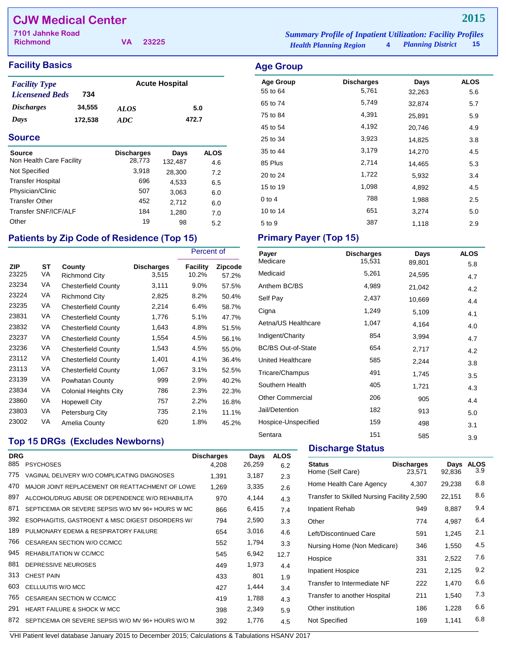## **CJW Medical Center**

| 7101 Jahnke Road |          | <b>Summary Profile of Inpatient Utilization: Facility Profiles</b> |                        |  |
|------------------|----------|--------------------------------------------------------------------|------------------------|--|
| <b>Richmond</b>  | VA 23225 | <b>Health Planning Region</b>                                      | 4 Planning District 15 |  |

## **Facility Basics Age Group**

| <b>Facility Type</b>   |         |             | <b>Acute Hospital</b> |
|------------------------|---------|-------------|-----------------------|
| <b>Licensened Beds</b> | 734     |             |                       |
| <i>Discharges</i>      | 34.555  | <i>ALOS</i> | 5.0                   |
| Days                   | 172,538 | ADC.        | 472.7                 |

### **Source**

| <b>Source</b>            | <b>Discharges</b> | Days    | <b>ALOS</b> |
|--------------------------|-------------------|---------|-------------|
| Non Health Care Facility | 28,773            | 132,487 | 4.6         |
| Not Specified            | 3,918             | 28,300  | 7.2         |
| <b>Transfer Hospital</b> | 696               | 4.533   | 6.5         |
| Physician/Clinic         | 507               | 3,063   | 6.0         |
| <b>Transfer Other</b>    | 452               | 2.712   | 6.0         |
| Transfer SNF/ICF/ALF     | 184               | 1,280   | 7.0         |
| Other                    | 19                | 98      | 5.2         |

## Patients by Zip Code of Residence (Top 15) Primary Payer (Top 15)

|                     |          |                                |                            | Percent of        |                         |
|---------------------|----------|--------------------------------|----------------------------|-------------------|-------------------------|
| <b>ZIP</b><br>23225 | SТ<br>VA | County<br><b>Richmond City</b> | <b>Discharges</b><br>3,515 | Facility<br>10.2% | <b>Zipcode</b><br>57.2% |
| 23234               | VA       | <b>Chesterfield County</b>     | 3,111                      | $9.0\%$           | 57.5%                   |
| 23224               | VA       | <b>Richmond City</b>           | 2,825                      | 8.2%              | 50.4%                   |
| 23235               | VA       | <b>Chesterfield County</b>     | 2,214                      | 6.4%              | 58.7%                   |
| 23831               | VA       | <b>Chesterfield County</b>     | 1,776                      | 5.1%              | 47.7%                   |
| 23832               | VA       | <b>Chesterfield County</b>     | 1,643                      | 4.8%              | 51.5%                   |
| 23237               | VA       | <b>Chesterfield County</b>     | 1,554                      | 4.5%              | 56.1%                   |
| 23236               | VA       | <b>Chesterfield County</b>     | 1,543                      | 4.5%              | 55.0%                   |
| 23112               | VA       | <b>Chesterfield County</b>     | 1,401                      | 4.1%              | 36.4%                   |
| 23113               | VA       | <b>Chesterfield County</b>     | 1,067                      | 3.1%              | 52.5%                   |
| 23139               | VA       | Powhatan County                | 999                        | 2.9%              | 40.2%                   |
| 23834               | VA       | <b>Colonial Heights City</b>   | 786                        | 2.3%              | 22.3%                   |
| 23860               | VA       | <b>Hopewell City</b>           | 757                        | 2.2%              | 16.8%                   |
| 23803               | VA       | Petersburg City                | 735                        | 2.1%              | 11.1%                   |
| 23002               | VA       | Amelia County                  | 620                        | 1.8%              | 45.2%                   |

## **Top 15 DRGs (Excludes Newborns)**

| <b>DRG</b><br>885 | <b>PSYCHOSES</b>                                   | <b>Discharges</b><br>4.208 | Days<br>26,259 | <b>ALOS</b> |
|-------------------|----------------------------------------------------|----------------------------|----------------|-------------|
|                   |                                                    |                            |                | 6.2         |
| 775               | VAGINAL DELIVERY W/O COMPLICATING DIAGNOSES        | 1.391                      | 3,187          | 2.3         |
| 470               | MAJOR JOINT REPLACEMENT OR REATTACHMENT OF LOWE    | 1,269                      | 3,335          | 2.6         |
| 897               | ALCOHOL/DRUG ABUSE OR DEPENDENCE W/O REHABILITA    | 970                        | 4,144          | 4.3         |
| 871               | SEPTICEMIA OR SEVERE SEPSIS W/O MV 96+ HOURS W MC  | 866                        | 6,415          | 7.4         |
| 392               | ESOPHAGITIS, GASTROENT & MISC DIGEST DISORDERS W/  | 794                        | 2,590          | 3.3         |
| 189               | PULMONARY EDEMA & RESPIRATORY FAILURE              | 654                        | 3,016          | 4.6         |
| 766               | CESAREAN SECTION W/O CC/MCC                        | 552                        | 1,794          | 3.3         |
| 945               | REHABILITATION W CC/MCC                            | 545                        | 6,942          | 12.7        |
| 881               | DEPRESSIVE NEUROSES                                | 449                        | 1,973          | 4.4         |
| 313               | <b>CHEST PAIN</b>                                  | 433                        | 801            | 1.9         |
| 603               | CELLULITIS W/O MCC                                 | 427                        | 1,444          | 3.4         |
| 765               | <b>CESAREAN SECTION W CC/MCC</b>                   | 419                        | 1,788          | 4.3         |
| 291               | <b>HEART FAILURE &amp; SHOCK W MCC</b>             | 398                        | 2,349          | 5.9         |
| 872               | SEPTICEMIA OR SEVERE SEPSIS W/O MV 96+ HOURS W/O M | 392                        | 1,776          | 4.5         |

| <b>Age Group</b><br>55 to 64 | <b>Discharges</b><br>5,761 | Days             | <b>ALOS</b> |
|------------------------------|----------------------------|------------------|-------------|
| 65 to 74                     | 5,749                      | 32,263<br>32,874 | 5.6<br>5.7  |
| 75 to 84                     | 4,391                      | 25,891           | 5.9         |
| 45 to 54                     | 4,192                      | 20,746           | 4.9         |
| 25 to 34                     | 3,923                      | 14,825           | 3.8         |
| 35 to 44                     | 3,179                      | 14,270           | 4.5         |
| 85 Plus                      | 2,714                      | 14,465           | 5.3         |
| 20 to 24                     | 1,722                      | 5,932            | 3.4         |
| 15 to 19                     | 1,098                      | 4,892            | 4.5         |
| $0$ to 4                     | 788                        | 1,988            | 2.5         |
| 10 to 14                     | 651                        | 3,274            | 5.0         |
| 5 to 9                       | 387                        | 1,118            | 2.9         |

| Payer<br>Medicare         | <b>Discharges</b><br>15,531 | Days<br>89,801 | <b>ALOS</b> |
|---------------------------|-----------------------------|----------------|-------------|
| Medicaid                  | 5,261                       | 24,595         | 5.8         |
| Anthem BC/BS              | 4,989                       | 21,042         | 4.7<br>4.2  |
| Self Pay                  | 2,437                       | 10,669         | 4.4         |
| Cigna                     | 1,249                       | 5,109          | 4.1         |
| Aetna/US Healthcare       | 1,047                       | 4,164          | 4.0         |
| Indigent/Charity          | 854                         | 3,994          | 4.7         |
| <b>BC/BS Out-of-State</b> | 654                         | 2,717          | 4.2         |
| United Healthcare         | 585                         | 2,244          | 3.8         |
| Tricare/Champus           | 491                         | 1,745          | 3.5         |
| Southern Health           | 405                         | 1,721          | 4.3         |
| <b>Other Commercial</b>   | 206                         | 905            | 4.4         |
| Jail/Detention            | 182                         | 913            | 5.0         |
| Hospice-Unspecified       | 159                         | 498            | 3.1         |
| Sentara                   | 151                         | 585            | 3.9         |

## **Discharge Status**

| <b>Status</b><br>Home (Self Care)          | <b>Discharges</b><br>23,571 | Days<br>92,836 | <b>ALOS</b><br>3.9 |
|--------------------------------------------|-----------------------------|----------------|--------------------|
| Home Health Care Agency                    | 4,307                       | 29,238         | 6.8                |
| Transfer to Skilled Nursing Facility 2,590 |                             | 22,151         | 8.6                |
| Inpatient Rehab                            | 949                         | 8,887          | 9.4                |
| Other                                      | 774                         | 4.987          | 6.4                |
| Left/Discontinued Care                     | 591                         | 1,245          | 2.1                |
| Nursing Home (Non Medicare)                | 346                         | 1,550          | 4.5                |
| Hospice                                    | 331                         | 2,522          | 7.6                |
| <b>Inpatient Hospice</b>                   | 231                         | 2,125          | 9.2                |
| Transfer to Intermediate NF                | 222                         | 1,470          | 6.6                |
| Transfer to another Hospital               | 211                         | 1,540          | 7.3                |
| Other institution                          | 186                         | 1,228          | 6.6                |
| Not Specified                              | 169                         | 1,141          | 6.8                |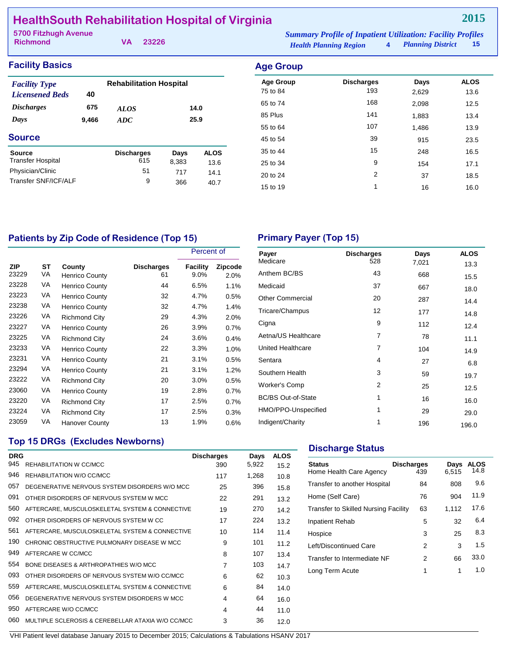## **HealthSouth Rehabilitation Hospital of Virginia**

| 5700 Fitzhugh Avenue |  | <b>Summary Profile of Inpatient Utilization: Facility Profiles</b> |                               |                        |  |
|----------------------|--|--------------------------------------------------------------------|-------------------------------|------------------------|--|
| Richmond             |  | VA 23226                                                           | <b>Health Planning Region</b> | 4 Planning District 15 |  |

**2015**

| <b>Facility Basics</b>                         |       |                                |                  |             | <b>Age Group</b>             |                          |               |                     |
|------------------------------------------------|-------|--------------------------------|------------------|-------------|------------------------------|--------------------------|---------------|---------------------|
| <b>Facility Type</b><br><b>Licensened Beds</b> | 40    | <b>Rehabilitation Hospital</b> |                  |             | <b>Age Group</b><br>75 to 84 | <b>Discharges</b><br>193 | Days<br>2,629 | <b>ALOS</b><br>13.6 |
| <b>Discharges</b>                              | 675   | <b>ALOS</b>                    | 65 to 74<br>14.0 | 168         | 2,098                        | 12.5                     |               |                     |
| Days                                           | 9,466 | ADC                            |                  | 25.9        | 85 Plus                      | 141                      | 1,883         | 13.4                |
|                                                |       | 55 to 64                       | 107              | 1,486       | 13.9                         |                          |               |                     |
| <b>Source</b>                                  |       |                                |                  |             | 45 to 54                     | 39                       | 915           | 23.5                |
| <b>Source</b>                                  |       | <b>Discharges</b>              | Days             | <b>ALOS</b> | 35 to 44                     | 15                       | 248           | 16.5                |
| <b>Transfer Hospital</b><br>615                |       | 8,383                          | 13.6             | 25 to 34    | 9                            | 154                      | 17.1          |                     |
| Physician/Clinic                               |       | 51                             | 717              | 14.1        | 20 to 24                     | 2                        | 37            | 18.5                |
| Transfer SNF/ICF/ALF                           |       | 9                              | 366              | 40.7        | 15 to 19                     |                          | 16            | 16.0                |

## Patients by Zip Code of Residence (Top 15) **Primary Payer (Top 15)**

|                     |          |                                 |                         | Percent of       |                        |
|---------------------|----------|---------------------------------|-------------------------|------------------|------------------------|
| <b>ZIP</b><br>23229 | SТ<br>VA | County<br><b>Henrico County</b> | <b>Discharges</b><br>61 | Facility<br>9.0% | <b>Zipcode</b><br>2.0% |
| 23228               | VA       | <b>Henrico County</b>           | 44                      | 6.5%             | 1.1%                   |
| 23223               | VA       | <b>Henrico County</b>           | 32                      | 4.7%             | 0.5%                   |
| 23238               | VA       | <b>Henrico County</b>           | 32                      | 4.7%             | 1.4%                   |
| 23226               | VA       | <b>Richmond City</b>            | 29                      | 4.3%             | 2.0%                   |
| 23227               | VA       | <b>Henrico County</b>           | 26                      | 3.9%             | 0.7%                   |
| 23225               | VA       | <b>Richmond City</b>            | 24                      | 3.6%             | 0.4%                   |
| 23233               | VA       | <b>Henrico County</b>           | 22                      | 3.3%             | 1.0%                   |
| 23231               | VA       | <b>Henrico County</b>           | 21                      | 3.1%             | 0.5%                   |
| 23294               | VA       | <b>Henrico County</b>           | 21                      | 3.1%             | 1.2%                   |
| 23222               | VA       | <b>Richmond City</b>            | 20                      | 3.0%             | 0.5%                   |
| 23060               | VA       | <b>Henrico County</b>           | 19                      | 2.8%             | 0.7%                   |
| 23220               | VA       | <b>Richmond City</b>            | 17                      | 2.5%             | 0.7%                   |
| 23224               | VA       | <b>Richmond City</b>            | 17                      | 2.5%             | 0.3%                   |
| 23059               | VA       | <b>Hanover County</b>           | 13                      | 1.9%             | 0.6%                   |

| Payer                     | <b>Discharges</b> | Days  | <b>ALOS</b> |
|---------------------------|-------------------|-------|-------------|
| Medicare                  | 528               | 7,021 | 13.3        |
| Anthem BC/BS              | 43                | 668   | 15.5        |
| Medicaid                  | 37                | 667   | 18.0        |
| <b>Other Commercial</b>   | 20                | 287   | 14.4        |
| Tricare/Champus           | 12                | 177   | 14.8        |
| Cigna                     | 9                 | 112   | 12.4        |
| Aetna/US Healthcare       | 7                 | 78    | 11.1        |
| United Healthcare         | 7                 | 104   | 14.9        |
| Sentara                   | 4                 | 27    | 6.8         |
| Southern Health           | 3                 | 59    | 19.7        |
| <b>Worker's Comp</b>      | 2                 | 25    | 12.5        |
| <b>BC/BS Out-of-State</b> | 1                 | 16    | 16.0        |
| HMO/PPO-Unspecified       | 1                 | 29    | 29.0        |
| Indigent/Charity          | 1                 | 196   | 196.0       |

## **Top 15 DRGs (Excludes Newborns)**

| <b>DRG</b> |                                                   | <b>Discharges</b> | Days  | <b>ALOS</b> |
|------------|---------------------------------------------------|-------------------|-------|-------------|
| 945        | REHABILITATION W CC/MCC                           | 390               | 5,922 | 15.2        |
| 946        | REHABILITATION W/O CC/MCC                         | 117               | 1,268 | 10.8        |
| 057        | DEGENERATIVE NERVOUS SYSTEM DISORDERS W/O MCC     | 25                | 396   | 15.8        |
| 091        | OTHER DISORDERS OF NERVOUS SYSTEM W MCC           | 22                | 291   | 13.2        |
| 560        | AFTERCARE, MUSCULOSKELETAL SYSTEM & CONNECTIVE    | 19                | 270   | 14.2        |
| 092        | OTHER DISORDERS OF NERVOUS SYSTEM W CC.           | 17                | 224   | 13.2        |
| 561        | AFTERCARE, MUSCULOSKELETAL SYSTEM & CONNECTIVE    | 10                | 114   | 11.4        |
| 190        | CHRONIC OBSTRUCTIVE PULMONARY DISEASE W MCC       | 9                 | 101   | 11.2        |
| 949        | AFTERCARE W CC/MCC                                | 8                 | 107   | 13.4        |
| 554        | BONE DISEASES & ARTHROPATHIES W/O MCC             | 7                 | 103   | 14.7        |
| 093        | OTHER DISORDERS OF NERVOUS SYSTEM W/O CC/MCC      | 6                 | 62    | 10.3        |
| 559        | AFTERCARE, MUSCULOSKELETAL SYSTEM & CONNECTIVE    | 6                 | 84    | 14.0        |
| 056        | DEGENERATIVE NERVOUS SYSTEM DISORDERS W MCC       | 4                 | 64    | 16.0        |
| 950        | AFTERCARE W/O CC/MCC                              | 4                 | 44    | 11.0        |
| 060        | MULTIPLE SCLEROSIS & CEREBELLAR ATAXIA W/O CC/MCC | 3                 | 36    | 12.0        |

### **Discharge Status**

| <b>Status</b><br>Home Health Care Agency | <b>Discharges</b><br>439 | Days<br>6.515 | ALOS<br>14.8 |
|------------------------------------------|--------------------------|---------------|--------------|
| Transfer to another Hospital             | 84                       | 808           | 9.6          |
| Home (Self Care)                         | 76                       | 904           | 11.9         |
| Transfer to Skilled Nursing Facility     | 63                       | 1,112         | 17.6         |
| <b>Inpatient Rehab</b>                   | 5                        | 32            | 6.4          |
| Hospice                                  | 3                        | 25            | 8.3          |
| Left/Discontinued Care                   | 2                        | 3             | 1.5          |
| Transfer to Intermediate NF              | 2                        | 66            | 33.0         |
| Long Term Acute                          | 1                        | 1             | 1.0          |
|                                          |                          |               |              |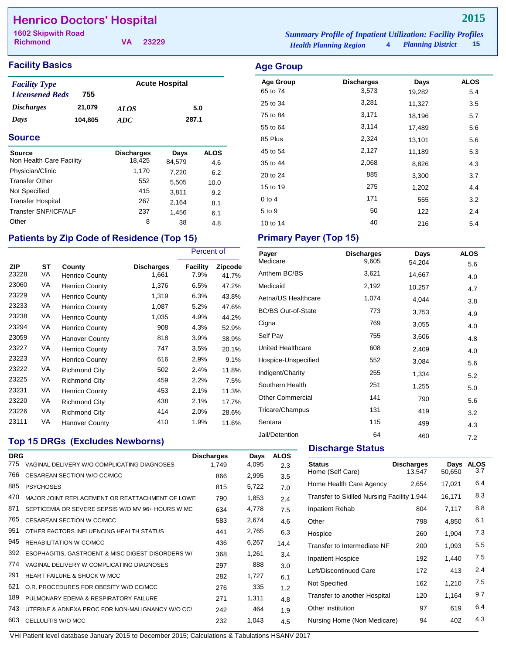## **Henrico Doctors' Hospital**

**Richmond**

**VA 23229**

## **Facility Basics Age Group Age Group**

| <b>Facility Type</b>   |         | <b>Acute Hospital</b> |       |  |
|------------------------|---------|-----------------------|-------|--|
| <b>Licensened Beds</b> | 755     |                       |       |  |
| <i>Discharges</i>      | 21,079  | <b>ALOS</b>           | 5.0   |  |
| Days                   | 104.805 | ADC.                  | 287.1 |  |

### **Source**

| <b>Source</b>            | <b>Discharges</b> | Days   | <b>ALOS</b> |
|--------------------------|-------------------|--------|-------------|
| Non Health Care Facility | 18,425            | 84,579 | 4.6         |
| Physician/Clinic         | 1,170             | 7,220  | 6.2         |
| <b>Transfer Other</b>    | 552               | 5,505  | 10.0        |
| Not Specified            | 415               | 3.811  | 9.2         |
| <b>Transfer Hospital</b> | 267               | 2.164  | 8.1         |
| Transfer SNF/ICF/ALF     | 237               | 1,456  | 6.1         |
| Other                    | 8                 | 38     | 4.8         |

## Patients by Zip Code of Residence (Top 15) Primary Payer (Top 15)

|                     |          |                                 |                            | Percent of       |                         |
|---------------------|----------|---------------------------------|----------------------------|------------------|-------------------------|
| <b>ZIP</b><br>23228 | SТ<br>VA | County<br><b>Henrico County</b> | <b>Discharges</b><br>1,661 | Facility<br>7.9% | <b>Zipcode</b><br>41.7% |
| 23060               | VA       | <b>Henrico County</b>           | 1,376                      | 6.5%             | 47.2%                   |
| 23229               | VA       | <b>Henrico County</b>           | 1,319                      | 6.3%             | 43.8%                   |
| 23233               | VA       | <b>Henrico County</b>           | 1,087                      | 5.2%             | 47.6%                   |
| 23238               | VA       | <b>Henrico County</b>           | 1,035                      | 4.9%             | 44.2%                   |
| 23294               | VA       | <b>Henrico County</b>           | 908                        | 4.3%             | 52.9%                   |
| 23059               | VA       | Hanover County                  | 818                        | 3.9%             | 38.9%                   |
| 23227               | VA       | <b>Henrico County</b>           | 747                        | 3.5%             | 20.1%                   |
| 23223               | VA       | Henrico County                  | 616                        | 2.9%             | 9.1%                    |
| 23222               | VA       | <b>Richmond City</b>            | 502                        | 2.4%             | 11.8%                   |
| 23225               | VA       | <b>Richmond City</b>            | 459                        | 2.2%             | 7.5%                    |
| 23231               | VA       | <b>Henrico County</b>           | 453                        | 2.1%             | 11.3%                   |
| 23220               | VA       | <b>Richmond City</b>            | 438                        | 2.1%             | 17.7%                   |
| 23226               | VA       | <b>Richmond City</b>            | 414                        | 2.0%             | 28.6%                   |
| 23111               | VA       | Hanover County                  | 410                        | 1.9%             | 11.6%                   |

## **Top 15 DRGs (Excludes Newborns)**

| <b>DRG</b> |                                                   | <b>Discharges</b> | Days  | <b>ALOS</b> |
|------------|---------------------------------------------------|-------------------|-------|-------------|
| 775        | VAGINAL DELIVERY W/O COMPLICATING DIAGNOSES       | 1,749             | 4,095 | 2.3         |
| 766        | CESAREAN SECTION W/O CC/MCC                       | 866               | 2,995 | 3.5         |
| 885        | <b>PSYCHOSES</b>                                  | 815               | 5,722 | 7.0         |
| 470        | MAJOR JOINT REPLACEMENT OR REATTACHMENT OF LOWE   | 790               | 1,853 | 2.4         |
| 871        | SEPTICEMIA OR SEVERE SEPSIS W/O MV 96+ HOURS W MC | 634               | 4,778 | 7.5         |
| 765        | CESAREAN SECTION W CC/MCC                         | 583               | 2,674 | 4.6         |
| 951        | OTHER FACTORS INFLUENCING HEALTH STATUS           | 441               | 2,765 | 6.3         |
| 945        | REHABILITATION W CC/MCC                           | 436               | 6,267 | 14.4        |
| 392        | ESOPHAGITIS, GASTROENT & MISC DIGEST DISORDERS W/ | 368               | 1,261 | 3.4         |
| 774        | VAGINAL DELIVERY W COMPLICATING DIAGNOSES         | 297               | 888   | 3.0         |
| 291        | <b>HEART FAILURE &amp; SHOCK W MCC</b>            | 282               | 1,727 | 6.1         |
| 621        | O.R. PROCEDURES FOR OBESITY W/O CC/MCC            | 276               | 335   | 1.2         |
| 189        | PULMONARY EDEMA & RESPIRATORY FAILURE             | 271               | 1,311 | 4.8         |
| 743        | UTERINE & ADNEXA PROC FOR NON-MALIGNANCY W/O CC/  | 242               | 464   | 1.9         |
| 603        | CELLULITIS W/O MCC                                | 232               | 1,043 | 4.5         |
|            |                                                   |                   |       |             |

*Health Planning Region* **4** *Planning District* **15 1602 Skipwith Road** *Summary Profile of Inpatient Utilization: Facility Profiles*

|          |       | 19,ZOZ | ు.4 |
|----------|-------|--------|-----|
| 25 to 34 | 3,281 | 11,327 | 3.5 |
| 75 to 84 | 3,171 | 18,196 | 5.7 |
| 55 to 64 | 3,114 | 17,489 | 5.6 |
| 85 Plus  | 2,324 | 13,101 | 5.6 |
| 45 to 54 | 2,127 | 11,189 | 5.3 |
| 35 to 44 | 2,068 | 8,826  | 4.3 |
| 20 to 24 | 885   | 3,300  | 3.7 |
| 15 to 19 | 275   | 1,202  | 4.4 |
| $0$ to 4 | 171   | 555    | 3.2 |
| 5 to 9   | 50    | 122    | 2.4 |
| 10 to 14 | 40    | 216    | 5.4 |

| Payer                     | <b>Discharges</b> | Days   | <b>ALOS</b> |
|---------------------------|-------------------|--------|-------------|
| Medicare                  | 9,605             | 54,204 | 5.6         |
| Anthem BC/BS              | 3,621             | 14,667 | 4.0         |
| Medicaid                  | 2,192             | 10,257 | 4.7         |
| Aetna/US Healthcare       | 1,074             | 4,044  | 3.8         |
| <b>BC/BS Out-of-State</b> | 773               | 3,753  | 4.9         |
| Cigna                     | 769               | 3,055  | 4.0         |
| Self Pay                  | 755               | 3,606  | 4.8         |
| United Healthcare         | 608               | 2,409  | 4.0         |
| Hospice-Unspecified       | 552               | 3,084  | 5.6         |
| Indigent/Charity          | 255               | 1,334  | 5.2         |
| Southern Health           | 251               | 1,255  | 5.0         |
| <b>Other Commercial</b>   | 141               | 790    | 5.6         |
| Tricare/Champus           | 131               | 419    | 3.2         |
| Sentara                   | 115               | 499    | 4.3         |
| Jail/Detention            | 64                | 460    | 7.2         |
|                           |                   |        |             |

## **Discharge Status**

| <b>Status</b><br>Home (Self Care)          | <b>Discharges</b><br>13.547 | Days<br>50,650 | <b>ALOS</b><br>3.7 |
|--------------------------------------------|-----------------------------|----------------|--------------------|
| Home Health Care Agency                    | 2,654                       | 17,021         | 6.4                |
| Transfer to Skilled Nursing Facility 1,944 |                             | 16,171         | 8.3                |
| Inpatient Rehab                            | 804                         | 7,117          | 8.8                |
| Other                                      | 798                         | 4,850          | 6.1                |
| Hospice                                    | 260                         | 1,904          | 7.3                |
| Transfer to Intermediate NF                | 200                         | 1,093          | 5.5                |
| <b>Inpatient Hospice</b>                   | 192                         | 1,440          | 7.5                |
| Left/Discontinued Care                     | 172                         | 413            | 2.4                |
| Not Specified                              | 162                         | 1,210          | 7.5                |
| Transfer to another Hospital               | 120                         | 1,164          | 9.7                |
| Other institution                          | 97                          | 619            | 6.4                |
| Nursing Home (Non Medicare)                | 94                          | 402            | 4.3                |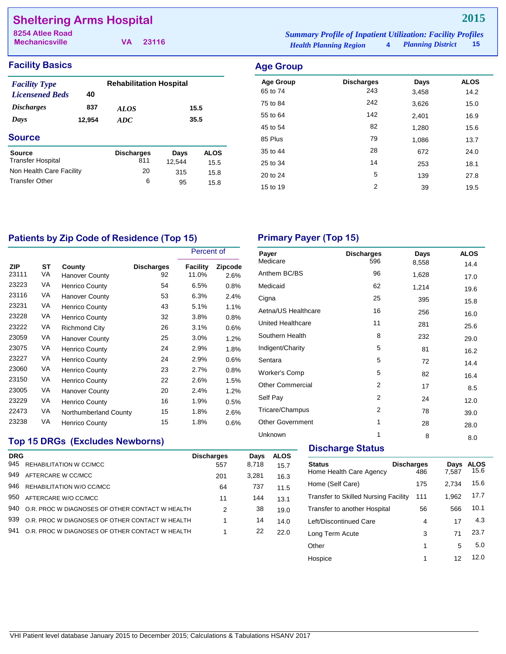## **Sheltering Arms Hospital**

**Mechanicsville**

**VA 23116**

*Health Planning Region* **4** *Planning District* **15 8254 Atlee Road** *Summary Profile of Inpatient Utilization: Facility Profiles*

## **Facility Basics Age Group**

| <b>Facility Type</b>     |        | <b>Rehabilitation Hospital</b> |        |             |  |
|--------------------------|--------|--------------------------------|--------|-------------|--|
| <b>Licensened Beds</b>   | 40     |                                |        |             |  |
| <i><b>Discharges</b></i> | 837    | <i>ALOS</i>                    |        | 15.5        |  |
| Days                     | 12,954 | ADC                            |        | 35.5        |  |
| <b>Source</b>            |        |                                |        |             |  |
| Source                   |        | <b>Discharges</b>              | Days   | <b>ALOS</b> |  |
| <b>Transfer Hospital</b> |        | 811                            | 12.544 | 15.5        |  |
| Non Health Care Facility |        | 20                             | 315    | 15.8        |  |
| <b>Transfer Other</b>    |        | 6                              | 95     | 15.8        |  |

| Age Group        |                   |       |             |
|------------------|-------------------|-------|-------------|
| <b>Age Group</b> | <b>Discharges</b> | Days  | <b>ALOS</b> |
| 65 to 74         | 243               | 3,458 | 14.2        |
| 75 to 84         | 242               | 3,626 | 15.0        |
| 55 to 64         | 142               | 2,401 | 16.9        |
| 45 to 54         | 82                | 1,280 | 15.6        |
| 85 Plus          | 79                | 1,086 | 13.7        |
| 35 to 44         | 28                | 672   | 24.0        |
| 25 to 34         | 14                | 253   | 18.1        |
| 20 to 24         | 5                 | 139   | 27.8        |
| 15 to 19         | 2                 | 39    | 19.5        |

## Patients by Zip Code of Residence (Top 15) Primary Payer (Top 15)

|                     |          |                          |                         | Percent of               |                 |
|---------------------|----------|--------------------------|-------------------------|--------------------------|-----------------|
| <b>ZIP</b><br>23111 | ST<br>VA | County<br>Hanover County | <b>Discharges</b><br>92 | <b>Facility</b><br>11.0% | Zipcode<br>2.6% |
| 23223               | VA       | <b>Henrico County</b>    | 54                      | 6.5%                     | 0.8%            |
| 23116               | VA       | <b>Hanover County</b>    | 53                      | 6.3%                     | 2.4%            |
| 23231               | VA       | <b>Henrico County</b>    | 43                      | 5.1%                     | 1.1%            |
| 23228               | VA       | <b>Henrico County</b>    | 32                      | 3.8%                     | 0.8%            |
| 23222               | VA       | <b>Richmond City</b>     | 26                      | 3.1%                     | 0.6%            |
| 23059               | VA       | <b>Hanover County</b>    | 25                      | 3.0%                     | $1.2\%$         |
| 23075               | VA       | <b>Henrico County</b>    | 24                      | 2.9%                     | 1.8%            |
| 23227               | VA       | <b>Henrico County</b>    | 24                      | 2.9%                     | 0.6%            |
| 23060               | VA       | <b>Henrico County</b>    | 23                      | 2.7%                     | 0.8%            |
| 23150               | VA       | <b>Henrico County</b>    | 22                      | 2.6%                     | 1.5%            |
| 23005               | VA       | <b>Hanover County</b>    | 20                      | 2.4%                     | $1.2\%$         |
| 23229               | VA       | <b>Henrico County</b>    | 16                      | 1.9%                     | 0.5%            |
| 22473               | VA       | Northumberland County    | 15                      | 1.8%                     | 2.6%            |
| 23238               | VA       | Henrico County           | 15                      | 1.8%                     | 0.6%            |

| <b>Discharges</b> | Days  | <b>ALOS</b> |
|-------------------|-------|-------------|
|                   | 8,558 | 14.4        |
| 96                | 1,628 | 17.0        |
| 62                | 1,214 | 19.6        |
| 25                | 395   | 15.8        |
| 16                | 256   | 16.0        |
| 11                | 281   | 25.6        |
| 8                 | 232   | 29.0        |
| 5                 | 81    | 16.2        |
| 5                 | 72    | 14.4        |
| 5                 | 82    | 16.4        |
| 2                 | 17    | 8.5         |
| 2                 | 24    | 12.0        |
| 2                 | 78    | 39.0        |
| 1                 | 28    | 28.0        |
| 1                 | 8     | 8.0         |
|                   | 596   |             |

## **Top 15 DRGs (Excludes Newborns)**

| <b>DRG</b> |                                                 | <b>Discharges</b> | Days  | <b>ALOS</b> |
|------------|-------------------------------------------------|-------------------|-------|-------------|
| 945        | REHABILITATION W CC/MCC                         | 557               | 8,718 | 15.7        |
| 949        | AFTERCARE W CC/MCC                              | 201               | 3,281 | 16.3        |
| 946        | REHABILITATION W/O CC/MCC                       | 64                | 737   | 11.5        |
| 950        | AFTERCARE W/O CC/MCC                            | 11                | 144   | 13.1        |
| 940        | O.R. PROC W DIAGNOSES OF OTHER CONTACT W HEALTH | 2                 | 38    | 19.0        |
| 939        | O.R. PROC W DIAGNOSES OF OTHER CONTACT W HEALTH |                   | 14    | 14.0        |
| 941        | O.R. PROC W DIAGNOSES OF OTHER CONTACT W HEALTH |                   | 22    | 22.0        |
|            |                                                 |                   |       |             |

#### **Discharge Status**

| <b>Status</b><br>Home Health Care Agency    | <b>Discharges</b><br>486 | Days<br>7,587 | <b>ALOS</b><br>15.6 |
|---------------------------------------------|--------------------------|---------------|---------------------|
| Home (Self Care)                            | 175                      | 2.734         | 15.6                |
| <b>Transfer to Skilled Nursing Facility</b> | 111                      | 1,962         | 17.7                |
| Transfer to another Hospital                | 56                       | 566           | 10.1                |
| Left/Discontinued Care                      | 4                        | 17            | 4.3                 |
| Long Term Acute                             | 3                        | 71            | 23.7                |
| Other                                       | 1                        | 5             | 5.0                 |
| Hospice                                     | 1                        | 12            | 12.0                |
|                                             |                          |               |                     |

## **2015**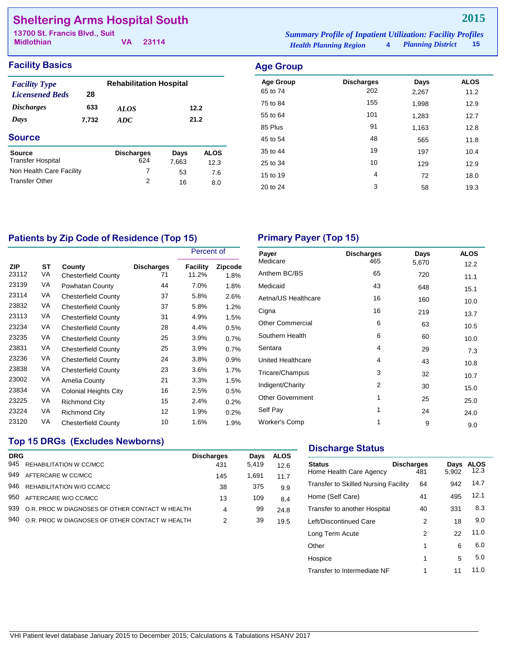## **Sheltering Arms Hospital South**

| 13700 St. Francis Blvd., Suit |  | <b>Summary Profile of Inpatient Utilization: Facility Profiles</b> |                               |                     |      |
|-------------------------------|--|--------------------------------------------------------------------|-------------------------------|---------------------|------|
| <b>Midlothian</b>             |  | VA 23114                                                           | <b>Health Planning Region</b> | 4 Planning District | - 15 |

| <b>Facility Basics</b>                                                           |              |                                |      |                  | <b>Age Group</b>             |                          |               |                     |
|----------------------------------------------------------------------------------|--------------|--------------------------------|------|------------------|------------------------------|--------------------------|---------------|---------------------|
| <b>Facility Type</b><br>28<br><b>Licensened Beds</b><br><b>Discharges</b><br>633 |              | <b>Rehabilitation Hospital</b> |      |                  | <b>Age Group</b><br>65 to 74 | <b>Discharges</b><br>202 | Days<br>2,267 | <b>ALOS</b><br>11.2 |
|                                                                                  |              | <b>ALOS</b>                    |      | 75 to 84<br>12.2 |                              | 155                      | 1.998         | 12.9                |
| Days                                                                             | 7,732        | ADC                            | 21.2 |                  | 55 to 64                     | 101                      | 1,283         | 12.7                |
|                                                                                  |              |                                |      |                  | 85 Plus                      | 91                       | 1,163         | 12.8                |
| <b>Source</b>                                                                    |              |                                |      |                  | 45 to 54                     | 48                       | 565           | 11.8                |
| <b>Source</b>                                                                    |              | <b>Discharges</b>              | Days | <b>ALOS</b>      | 35 to 44                     | 19                       | 197           | 10.4                |
| <b>Transfer Hospital</b>                                                         | 624<br>7,663 |                                | 12.3 | 25 to 34         | 10                           | 129                      | 12.9          |                     |
| Non Health Care Facility                                                         |              | $\overline{ }$                 | 53   | 7.6              | 15 to 19                     | 4                        | 72            | 18.0                |
| <b>Transfer Other</b>                                                            |              | 2                              | 16   | 8.0              | 20 to 24                     | 3                        | 58            | 19.3                |

## Patients by Zip Code of Residence (Top 15) Primary Payer (Top 15)

|                     |          |                                      |                         | Percent of        |                 |
|---------------------|----------|--------------------------------------|-------------------------|-------------------|-----------------|
| <b>ZIP</b><br>23112 | SТ<br>VA | County<br><b>Chesterfield County</b> | <b>Discharges</b><br>71 | Facility<br>11.2% | Zipcode<br>1.8% |
| 23139               | VA       | Powhatan County                      | 44                      | 7.0%              | 1.8%            |
| 23114               | VA       | <b>Chesterfield County</b>           | 37                      | 5.8%              | 2.6%            |
| 23832               | VA       | <b>Chesterfield County</b>           | 37                      | 5.8%              | 1.2%            |
| 23113               | VA       | <b>Chesterfield County</b>           | 31                      | 4.9%              | 1.5%            |
| 23234               | VA       | <b>Chesterfield County</b>           | 28                      | 4.4%              | 0.5%            |
| 23235               | VA       | <b>Chesterfield County</b>           | 25                      | 3.9%              | 0.7%            |
| 23831               | VA       | <b>Chesterfield County</b>           | 25                      | 3.9%              | 0.7%            |
| 23236               | VA       | <b>Chesterfield County</b>           | 24                      | 3.8%              | 0.9%            |
| 23838               | VA       | <b>Chesterfield County</b>           | 23                      | 3.6%              | 1.7%            |
| 23002               | VA       | Amelia County                        | 21                      | 3.3%              | 1.5%            |
| 23834               | VA       | <b>Colonial Heights City</b>         | 16                      | 2.5%              | 0.5%            |
| 23225               | VA       | <b>Richmond City</b>                 | 15                      | 2.4%              | 0.2%            |
| 23224               | VA       | <b>Richmond City</b>                 | 12                      | 1.9%              | 0.2%            |
| 23120               | VA       | <b>Chesterfield County</b>           | 10                      | 1.6%              | 1.9%            |

| Payer                    | <b>Discharges</b> | Days  | <b>ALOS</b> |
|--------------------------|-------------------|-------|-------------|
| Medicare                 | 465               | 5,670 | 12.2        |
| Anthem BC/BS             | 65                | 720   | 11.1        |
| Medicaid                 | 43                | 648   | 15.1        |
| Aetna/US Healthcare      | 16                | 160   | 10.0        |
| Cigna                    | 16                | 219   | 13.7        |
| <b>Other Commercial</b>  | 6                 | 63    | 10.5        |
| Southern Health          | 6                 | 60    | 10.0        |
| Sentara                  | 4                 | 29    | 7.3         |
| <b>United Healthcare</b> | 4                 | 43    | 10.8        |
| Tricare/Champus          | 3                 | 32    | 10.7        |
| Indigent/Charity         | 2                 | 30    | 15.0        |
| <b>Other Government</b>  | 1                 | 25    | 25.0        |
| Self Pay                 | 1                 | 24    | 24.0        |
| <b>Worker's Comp</b>     | 1                 | 9     | 9.0         |

## **Top 15 DRGs (Excludes Newborns)**

| <b>DRG</b> |                                                 | <b>Discharges</b> | Davs  | <b>ALOS</b> |
|------------|-------------------------------------------------|-------------------|-------|-------------|
| 945        | REHABILITATION W CC/MCC                         | 431               | 5.419 | 12.6        |
| 949        | AFTERCARE W CC/MCC                              | 145               | 1.691 | 11.7        |
| 946        | REHABILITATION W/O CC/MCC                       | 38                | 375   | 9.9         |
| 950        | AFTERCARE W/O CC/MCC                            | 13                | 109   | 8.4         |
| 939        | O.R. PROC W DIAGNOSES OF OTHER CONTACT W HEALTH | 4                 | 99    | 24.8        |
| 940        | O.R. PROC W DIAGNOSES OF OTHER CONTACT W HEALTH | 2                 | 39    | 19.5        |
|            |                                                 |                   |       |             |

### **Discharge Status**

| <b>Status</b><br>Home Health Care Agency    | <b>Discharges</b><br>481 | Days<br>5.902 | ALOS<br>12.3 |
|---------------------------------------------|--------------------------|---------------|--------------|
| <b>Transfer to Skilled Nursing Facility</b> | 64                       | 942           | 14.7         |
| Home (Self Care)                            | 41                       | 495           | 12.1         |
| Transfer to another Hospital                | 40                       | 331           | 8.3          |
| Left/Discontinued Care                      | 2                        | 18            | 9.0          |
| Long Term Acute                             | 2                        | 22            | 11.0         |
| Other                                       | 1                        | 6             | 6.0          |
| Hospice                                     | 1                        | 5             | 5.0          |
| Transfer to Intermediate NF                 | 1                        | 11            | 11.0         |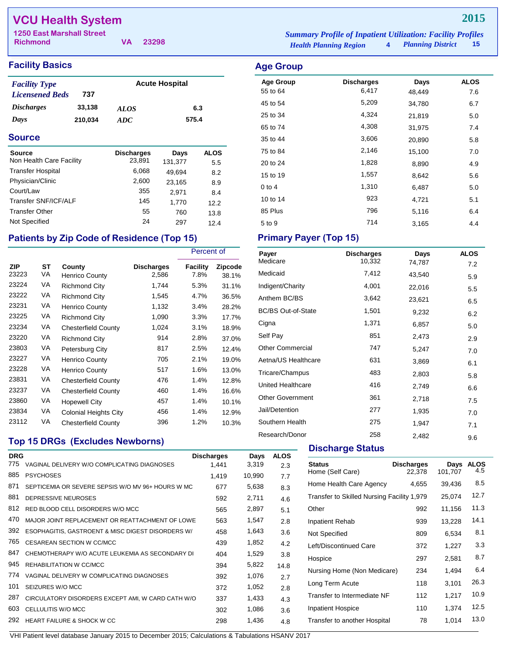## **VCU Health System**

| Summur y 1 ropee of Impanem C |  |
|-------------------------------|--|
| <b>Health Planning Region</b> |  |

## **Facility Basics Age Group**

| <b>Facility Type</b>     |         |             | <b>Acute Hospital</b> |
|--------------------------|---------|-------------|-----------------------|
| <b>Licensened Beds</b>   | 737     |             |                       |
| <i><b>Discharges</b></i> | 33,138  | <b>ALOS</b> | 6.3                   |
| Days                     | 210,034 | ADC.        | 575.4                 |

#### **Source**

| <b>Source</b>            | <b>Discharges</b> | Days    | <b>ALOS</b> |
|--------------------------|-------------------|---------|-------------|
| Non Health Care Facility | 23,891            | 131,377 | 5.5         |
| <b>Transfer Hospital</b> | 6,068             | 49.694  | 8.2         |
| Physician/Clinic         | 2,600             | 23,165  | 8.9         |
| Court/Law                | 355               | 2.971   | 8.4         |
| Transfer SNF/ICF/ALF     | 145               | 1,770   | 12.2        |
| <b>Transfer Other</b>    | 55                | 760     | 13.8        |
| Not Specified            | 24                | 297     | 12.4        |

## Patients by Zip Code of Residence (Top 15) Primary Payer (Top 15)

|                     |          |                                 |                            | Percent of              |                         |
|---------------------|----------|---------------------------------|----------------------------|-------------------------|-------------------------|
| <b>ZIP</b><br>23223 | ST<br>VA | County<br><b>Henrico County</b> | <b>Discharges</b><br>2,586 | <b>Facility</b><br>7.8% | <b>Zipcode</b><br>38.1% |
| 23224               | VA       | Richmond City                   | 1,744                      | 5.3%                    | 31.1%                   |
| 23222               | VA       | <b>Richmond City</b>            | 1,545                      | 4.7%                    | 36.5%                   |
| 23231               | VA       | <b>Henrico County</b>           | 1,132                      | 3.4%                    | 28.2%                   |
| 23225               | VA       | Richmond City                   | 1,090                      | 3.3%                    | 17.7%                   |
| 23234               | VA       | <b>Chesterfield County</b>      | 1,024                      | 3.1%                    | 18.9%                   |
| 23220               | VA       | <b>Richmond City</b>            | 914                        | 2.8%                    | 37.0%                   |
| 23803               | VA       | Petersburg City                 | 817                        | 2.5%                    | 12.4%                   |
| 23227               | VA       | <b>Henrico County</b>           | 705                        | 2.1%                    | 19.0%                   |
| 23228               | VA       | <b>Henrico County</b>           | 517                        | 1.6%                    | 13.0%                   |
| 23831               | VA       | <b>Chesterfield County</b>      | 476                        | 1.4%                    | 12.8%                   |
| 23237               | VA       | <b>Chesterfield County</b>      | 460                        | 1.4%                    | 16.6%                   |
| 23860               | VA       | <b>Hopewell City</b>            | 457                        | 1.4%                    | 10.1%                   |
| 23834               | VA       | Colonial Heights City           | 456                        | 1.4%                    | 12.9%                   |
| 23112               | VA       | <b>Chesterfield County</b>      | 396                        | 1.2%                    | 10.3%                   |

## **Top 15 DRGs (Excludes Newborns)**

| <b>DRG</b><br>775 | VAGINAL DELIVERY W/O COMPLICATING DIAGNOSES       | <b>Discharges</b><br>1,441 | Days<br>3,319 | <b>ALOS</b><br>2.3 |
|-------------------|---------------------------------------------------|----------------------------|---------------|--------------------|
| 885               | <b>PSYCHOSES</b>                                  | 1,419                      | 10,990        | 7.7                |
| 871               | SEPTICEMIA OR SEVERE SEPSIS W/O MV 96+ HOURS W MC | 677                        | 5,638         | 8.3                |
| 881               | DEPRESSIVE NEUROSES                               | 592                        | 2,711         | 4.6                |
| 812               | RED BLOOD CELL DISORDERS W/O MCC                  | 565                        | 2,897         | 5.1                |
| 470               | MAJOR JOINT REPLACEMENT OR REATTACHMENT OF LOWE   | 563                        | 1,547         | 2.8                |
| 392               | ESOPHAGITIS, GASTROENT & MISC DIGEST DISORDERS W/ | 458                        | 1,643         | 3.6                |
| 765               | <b>CESAREAN SECTION W CC/MCC</b>                  | 439                        | 1,852         | 4.2                |
| 847               | CHEMOTHERAPY W/O ACUTE LEUKEMIA AS SECONDARY DI   | 404                        | 1,529         | 3.8                |
| 945               | REHABILITATION W CC/MCC                           | 394                        | 5,822         | 14.8               |
| 774               | VAGINAL DELIVERY W COMPLICATING DIAGNOSES         | 392                        | 1,076         | 2.7                |
| 101               | SEIZURES W/O MCC                                  | 372                        | 1,052         | 2.8                |
| 287               | CIRCULATORY DISORDERS EXCEPT AMI, W CARD CATH W/O | 337                        | 1,433         | 4.3                |
| 603               | CELLULITIS W/O MCC                                | 302                        | 1,086         | 3.6                |
| 292               | HEART FAILURE & SHOCK W CC                        | 298                        | 1,436         | 4.8                |
|                   |                                                   |                            |               |                    |

#### VHI Patient level database January 2015 to December 2015; Calculations & Tabulations HSANV 2017

| <b>Richmond</b>                  |  | 23298 | <b>Health Planning Region</b>                                      | 4 Planning District | - 15 |
|----------------------------------|--|-------|--------------------------------------------------------------------|---------------------|------|
| <b>1250 East Marshall Street</b> |  |       | <b>Summary Profile of Inpatient Utilization: Facility Profiles</b> |                     |      |

| <b>Discharges</b> | Days   | <b>ALOS</b> |
|-------------------|--------|-------------|
| 6,417             | 48,449 | 7.6         |
| 5,209             | 34,780 | 6.7         |
| 4,324             | 21,819 | 5.0         |
| 4,308             | 31,975 | 7.4         |
| 3,606             | 20,890 | 5.8         |
| 2,146             | 15,100 | 7.0         |
| 1,828             | 8,890  | 4.9         |
| 1,557             | 8,642  | 5.6         |
| 1,310             | 6,487  | 5.0         |
| 923               | 4,721  | 5.1         |
| 796               | 5,116  | 6.4         |
| 714               | 3,165  | 4.4         |
|                   |        |             |

| Payer                     | <b>Discharges</b> | Days   | <b>ALOS</b> |
|---------------------------|-------------------|--------|-------------|
| Medicare                  | 10,332            | 74,787 | 7.2         |
| Medicaid                  | 7,412             | 43,540 | 5.9         |
| Indigent/Charity          | 4,001             | 22,016 | 5.5         |
| Anthem BC/BS              | 3,642             | 23,621 | 6.5         |
| <b>BC/BS Out-of-State</b> | 1,501             | 9,232  | 6.2         |
| Cigna                     | 1,371             | 6,857  | 5.0         |
| Self Pay                  | 851               | 2,473  | 2.9         |
| <b>Other Commercial</b>   | 747               | 5,247  | 7.0         |
| Aetna/US Healthcare       | 631               | 3,869  | 6.1         |
| Tricare/Champus           | 483               | 2,803  | 5.8         |
| United Healthcare         | 416               | 2,749  | 6.6         |
| <b>Other Government</b>   | 361               | 2,718  | 7.5         |
| Jail/Detention            | 277               | 1,935  | 7.0         |
| Southern Health           | 275               | 1,947  | 7.1         |
| Research/Donor            | 258               | 2,482  | 9.6         |

#### **Discharge Status**

| <b>Status</b><br>Home (Self Care)          | <b>Discharges</b><br>22.378 | Days<br>101.707 | <b>ALOS</b><br>4.5 |
|--------------------------------------------|-----------------------------|-----------------|--------------------|
| Home Health Care Agency                    | 4,655                       | 39,436          | 8.5                |
| Transfer to Skilled Nursing Facility 1,979 |                             | 25,074          | 12.7               |
| Other                                      | 992                         | 11,156          | 11.3               |
| <b>Inpatient Rehab</b>                     | 939                         | 13,228          | 14.1               |
| Not Specified                              | 809                         | 6,534           | 8.1                |
| Left/Discontinued Care                     | 372                         | 1,227           | 3.3                |
| Hospice                                    | 297                         | 2,581           | 8.7                |
| Nursing Home (Non Medicare)                | 234                         | 1.494           | 6.4                |
| Long Term Acute                            | 118                         | 3,101           | 26.3               |
| Transfer to Intermediate NF                | 112                         | 1,217           | 10.9               |
| <b>Inpatient Hospice</b>                   | 110                         | 1,374           | 12.5               |
| Transfer to another Hospital               | 78                          | 1,014           | 13.0               |

## **2015**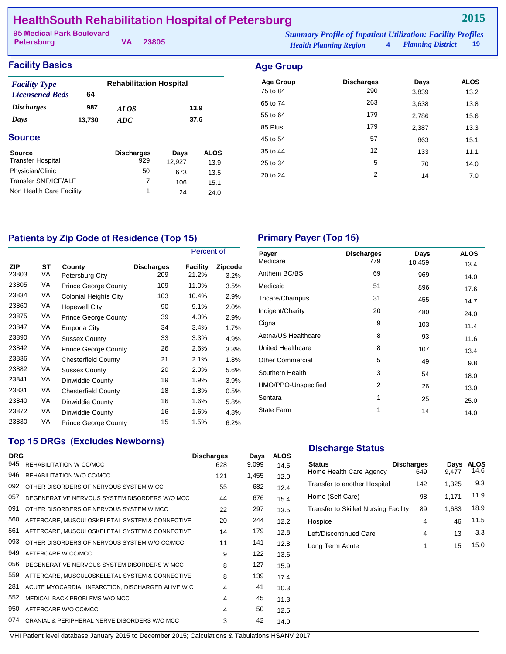## **HealthSouth Rehabilitation Hospital of Petersburg**

**Petersburg**

**VA 23805**

**2015**

#### **Facility Basics Age Group** *Discharges Days ALOS ADC Licensened Beds* **64 987 13,730 13.9 37.6 Source** *Facility Type* **Rehabilitation Hospital**

| <b>Source</b><br><b>Transfer Hospital</b> | <b>Discharges</b><br>929 | Days<br>12.927 | <b>ALOS</b><br>13.9 |
|-------------------------------------------|--------------------------|----------------|---------------------|
| Physician/Clinic                          | 50                       | 673            | 13.5                |
| Transfer SNF/ICF/ALF                      |                          | 106            | 15.1                |
| Non Health Care Facility                  | 1                        | 24             | 24.0                |

| ngo oroap        |                   |       |             |
|------------------|-------------------|-------|-------------|
| <b>Age Group</b> | <b>Discharges</b> | Days  | <b>ALOS</b> |
| 75 to 84         | 290               | 3,839 | 13.2        |
| 65 to 74         | 263               | 3,638 | 13.8        |
| 55 to 64         | 179               | 2,786 | 15.6        |
| 85 Plus          | 179               | 2,387 | 13.3        |
| 45 to 54         | 57                | 863   | 15.1        |
| 35 to 44         | 12                | 133   | 11.1        |
| 25 to 34         | 5                 | 70    | 14.0        |
| 20 to 24         | 2                 | 14    | 7.0         |
|                  |                   |       |             |

## Patients by Zip Code of Residence (Top 15) Primary Payer (Top 15)

|              |          |                              |                          | Percent of        |                        |
|--------------|----------|------------------------------|--------------------------|-------------------|------------------------|
| ZIP<br>23803 | ST<br>VA | County<br>Petersburg City    | <b>Discharges</b><br>209 | Facility<br>21.2% | <b>Zipcode</b><br>3.2% |
| 23805        | VA       | <b>Prince George County</b>  | 109                      | 11.0%             | 3.5%                   |
| 23834        | VA       | <b>Colonial Heights City</b> | 103                      | 10.4%             | 2.9%                   |
| 23860        | VA       | <b>Hopewell City</b>         | 90                       | 9.1%              | 2.0%                   |
| 23875        | VA       | <b>Prince George County</b>  | 39                       | 4.0%              | 2.9%                   |
| 23847        | VA       | Emporia City                 | 34                       | 3.4%              | 1.7%                   |
| 23890        | VA       | <b>Sussex County</b>         | 33                       | 3.3%              | 4.9%                   |
| 23842        | VA       | <b>Prince George County</b>  | 26                       | 2.6%              | 3.3%                   |
| 23836        | VA       | <b>Chesterfield County</b>   | 21                       | 2.1%              | 1.8%                   |
| 23882        | VA       | Sussex County                | 20                       | 2.0%              | 5.6%                   |
| 23841        | VA       | Dinwiddie County             | 19                       | 1.9%              | 3.9%                   |
| 23831        | VA       | <b>Chesterfield County</b>   | 18                       | 1.8%              | 0.5%                   |
| 23840        | VA       | Dinwiddie County             | 16                       | 1.6%              | 5.8%                   |
| 23872        | VA       | Dinwiddie County             | 16                       | 1.6%              | 4.8%                   |
| 23830        | VA       | <b>Prince George County</b>  | 15                       | 1.5%              | 6.2%                   |

| Payer                    | <b>Discharges</b> | Days   | <b>ALOS</b> |
|--------------------------|-------------------|--------|-------------|
| Medicare                 | 779               | 10,459 | 13.4        |
| Anthem BC/BS             | 69                | 969    | 14.0        |
| Medicaid                 | 51                | 896    | 17.6        |
| Tricare/Champus          | 31                | 455    | 14.7        |
| Indigent/Charity         | 20                | 480    | 24.0        |
| Cigna                    | 9                 | 103    | 11.4        |
| Aetna/US Healthcare      | 8                 | 93     | 11.6        |
| <b>United Healthcare</b> | 8                 | 107    | 13.4        |
| <b>Other Commercial</b>  | 5                 | 49     | 9.8         |
| Southern Health          | 3                 | 54     | 18.0        |
| HMO/PPO-Unspecified      | 2                 | 26     | 13.0        |
| Sentara                  | 1                 | 25     | 25.0        |
| <b>State Farm</b>        | 1                 | 14     | 14.0        |

## **Top 15 DRGs (Excludes Newborns)**

| <b>DRG</b> |                                                   | <b>Discharges</b> | Days  | <b>ALOS</b> |  |
|------------|---------------------------------------------------|-------------------|-------|-------------|--|
| 945        | REHABILITATION W CC/MCC                           | 628               | 9,099 | 14.5        |  |
| 946        | REHABILITATION W/O CC/MCC                         | 121               | 1,455 | 12.0        |  |
| 092        | OTHER DISORDERS OF NERVOUS SYSTEM W CC.           | 55                | 682   | 12.4        |  |
| 057        | DEGENERATIVE NERVOUS SYSTEM DISORDERS W/O MCC     | 44                | 676   | 15.4        |  |
| 091        | OTHER DISORDERS OF NERVOUS SYSTEM W MCC           | 22                | 297   | 13.5        |  |
| 560        | AFTERCARE, MUSCULOSKELETAL SYSTEM & CONNECTIVE    | 20                | 244   | 12.2        |  |
| 561        | AFTERCARE, MUSCULOSKELETAL SYSTEM & CONNECTIVE    | 14                | 179   | 12.8        |  |
| 093        | OTHER DISORDERS OF NERVOUS SYSTEM W/O CC/MCC      | 11                | 141   | 12.8        |  |
| 949        | AFTERCARE W CC/MCC                                | 9                 | 122   | 13.6        |  |
| 056        | DEGENERATIVE NERVOUS SYSTEM DISORDERS W MCC       | 8                 | 127   | 15.9        |  |
| 559        | AFTERCARE, MUSCULOSKELETAL SYSTEM & CONNECTIVE    | 8                 | 139   | 17.4        |  |
| 281        | ACUTE MYOCARDIAL INFARCTION, DISCHARGED ALIVE W C | 4                 | 41    | 10.3        |  |
| 552        | MEDICAL BACK PROBLEMS W/O MCC                     | 4                 | 45    | 11.3        |  |
| 950        | AFTERCARE W/O CC/MCC                              | 4                 | 50    | 12.5        |  |
| 074        | CRANIAL & PERIPHERAL NERVE DISORDERS W/O MCC      | 3                 | 42    | 14.0        |  |
|            |                                                   |                   |       |             |  |

#### **Discharge Status**

| <b>Status</b><br>Home Health Care Agency | <b>Discharges</b><br>649 | Days<br>9.477 | ALOS<br>14.6 |
|------------------------------------------|--------------------------|---------------|--------------|
| Transfer to another Hospital             | 142                      | 1,325         | 93           |
| Home (Self Care)                         | 98                       | 1,171         | 11.9         |
| Transfer to Skilled Nursing Facility     | 89                       | 1,683         | 18.9         |
| Hospice                                  | 4                        | 46            | 11.5         |
| Left/Discontinued Care                   | 4                        | 13            | 3.3          |
| Long Term Acute                          | 1                        | 15            | 15.0         |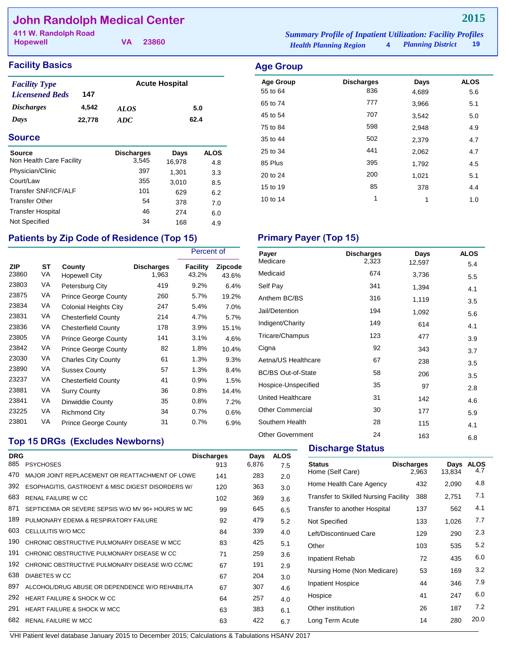## **John Randolph Medical Center**

| 411 W. Randolph Road |          | <b>Summary Profile of Inpatient Utilization: Facility Profiles</b> |  |
|----------------------|----------|--------------------------------------------------------------------|--|
| <b>Hopewell</b>      | VA 23860 | 4 Planning District 19<br><b>Health Planning Region</b>            |  |

**2015**

Age Group **Discharges** Days ALOS 55 to 64 836 4,689 5.6 65 to 74 **777** 3,966 5.1 45 to 54 **707** 3,542 5.0 75 to 84 598 2,948 4.9 35 to 44 502 2,379 4.7 25 to 34 **441** 2,062 4.7 85 Plus 395 1,792 4.5 20 to 24 200 1,021 5.1 15 to 19 378 378 4.4 10 to 14 1 1 1.0

### **Facility Basics Age Group Age Group**

| <b>Facility Type</b>     |        | <b>Acute Hospital</b> |      |
|--------------------------|--------|-----------------------|------|
| <b>Licensened Beds</b>   | 147    |                       |      |
| <i><b>Discharges</b></i> | 4.542  | <i>ALOS</i>           | 5.0  |
| Days                     | 22,778 | ADC.                  | 62.4 |

#### **Source**

| <b>Source</b>            | <b>Discharges</b> | Days   | ALOS |
|--------------------------|-------------------|--------|------|
| Non Health Care Facility | 3,545             | 16,978 | 4.8  |
| Physician/Clinic         | 397               | 1.301  | 3.3  |
| Court/Law                | 355               | 3,010  | 8.5  |
| Transfer SNF/ICF/ALF     | 101               | 629    | 6.2  |
| <b>Transfer Other</b>    | 54                | 378    | 7.0  |
| <b>Transfer Hospital</b> | 46                | 274    | 6.0  |
| Not Specified            | 34                | 168    | 4.9  |

## Patients by Zip Code of Residence (Top 15) Primary Payer (Top 15)

**Top 15 DRGs (Excludes Newborns)**

|              |          |                              |                            | Percent of        |                         |
|--------------|----------|------------------------------|----------------------------|-------------------|-------------------------|
| ZIP<br>23860 | ST<br>VA | County<br>Hopewell City      | <b>Discharges</b><br>1,963 | Facility<br>43.2% | <b>Zipcode</b><br>43.6% |
| 23803        | VA       | Petersburg City              | 419                        | 9.2%              | 6.4%                    |
| 23875        | VA       | <b>Prince George County</b>  | 260                        | 5.7%              | 19.2%                   |
| 23834        | VA       | <b>Colonial Heights City</b> | 247                        | 5.4%              | 7.0%                    |
| 23831        | VA       | <b>Chesterfield County</b>   | 214                        | 4.7%              | 5.7%                    |
| 23836        | VA       | <b>Chesterfield County</b>   | 178                        | 3.9%              | 15.1%                   |
| 23805        | VA       | <b>Prince George County</b>  | 141                        | 3.1%              | 4.6%                    |
| 23842        | VA       | <b>Prince George County</b>  | 82                         | 1.8%              | 10.4%                   |
| 23030        | VA       | <b>Charles City County</b>   | 61                         | 1.3%              | 9.3%                    |
| 23890        | VA       | <b>Sussex County</b>         | 57                         | 1.3%              | 8.4%                    |
| 23237        | VA       | <b>Chesterfield County</b>   | 41                         | 0.9%              | 1.5%                    |
| 23881        | VA       | <b>Surry County</b>          | 36                         | 0.8%              | 14.4%                   |
| 23841        | VA       | Dinwiddie County             | 35                         | 0.8%              | 7.2%                    |
| 23225        | VA       | Richmond City                | 34                         | 0.7%              | 0.6%                    |
| 23801        | VA       | <b>Prince George County</b>  | 31                         | 0.7%              | 6.9%                    |

| Payer                     | <b>Discharges</b> | Days   | <b>ALOS</b> |
|---------------------------|-------------------|--------|-------------|
| Medicare                  | 2,323             | 12,597 | 5.4         |
| Medicaid                  | 674               | 3,736  | 5.5         |
| Self Pay                  | 341               | 1,394  | 4.1         |
| Anthem BC/BS              | 316               | 1,119  | 3.5         |
| Jail/Detention            | 194               | 1,092  | 5.6         |
| Indigent/Charity          | 149               | 614    | 4.1         |
| Tricare/Champus           | 123               | 477    | 3.9         |
| Cigna                     | 92                | 343    | 3.7         |
| Aetna/US Healthcare       | 67                | 238    | 3.5         |
| <b>BC/BS Out-of-State</b> | 58                | 206    | 3.5         |
| Hospice-Unspecified       | 35                | 97     | 2.8         |
| United Healthcare         | 31                | 142    | 4.6         |
| <b>Other Commercial</b>   | 30                | 177    | 5.9         |
| Southern Health           | 28                | 115    | 4.1         |
| <b>Other Government</b>   | 24                | 163    | 6.8         |

#### **Discharge Status**

| <b>DRG</b> |                                                   | <b>Discharges</b> | Days  | <b>ALOS</b> |                                             |                   |        |             |
|------------|---------------------------------------------------|-------------------|-------|-------------|---------------------------------------------|-------------------|--------|-------------|
| 885        | <b>PSYCHOSES</b>                                  | 913               | 6,876 | 7.5         | <b>Status</b>                               | <b>Discharges</b> | Days   | <b>ALOS</b> |
| 470        | MAJOR JOINT REPLACEMENT OR REATTACHMENT OF LOWE   | 141               | 283   | 2.0         | Home (Self Care)                            | 2,963             | 13,834 | 4.7         |
| 392        | ESOPHAGITIS, GASTROENT & MISC DIGEST DISORDERS W/ | 120               | 363   | 3.0         | Home Health Care Agency                     | 432               | 2,090  | 4.8         |
| 683        | <b>RENAL FAILURE W CC</b>                         | 102               | 369   | 3.6         | <b>Transfer to Skilled Nursing Facility</b> | 388               | 2,751  | 7.1         |
| 871        | SEPTICEMIA OR SEVERE SEPSIS W/O MV 96+ HOURS W MC | 99                | 645   | 6.5         | Transfer to another Hospital                | 137               | 562    | 4.1         |
| 189        | PULMONARY EDEMA & RESPIRATORY FAILURE             | 92                | 479   | 5.2         | Not Specified                               | 133               | 1,026  | 7.7         |
| 603        | CELLULITIS W/O MCC                                | 84                | 339   | 4.0         | Left/Discontinued Care                      | 129               | 290    | 2.3         |
| 190        | CHRONIC OBSTRUCTIVE PULMONARY DISEASE W MCC       | 83                | 425   | 5.1         | Other                                       | 103               | 535    | 5.2         |
| 191        | CHRONIC OBSTRUCTIVE PULMONARY DISEASE W CC        | 71                | 259   | 3.6         | <b>Inpatient Rehab</b>                      | 72                | 435    | 6.0         |
| 192        | CHRONIC OBSTRUCTIVE PULMONARY DISEASE W/O CC/MC   | 67                | 191   | 2.9         |                                             |                   |        | 3.2         |
| 638        | DIABETES W CC                                     | 67                | 204   | 3.0         | Nursing Home (Non Medicare)                 | 53                | 169    |             |
| 897        | ALCOHOL/DRUG ABUSE OR DEPENDENCE W/O REHABILITA   | 67                | 307   | 4.6         | <b>Inpatient Hospice</b>                    | 44                | 346    | 7.9         |
| 292        | <b>HEART FAILURE &amp; SHOCK W CC</b>             | 64                | 257   | 4.0         | Hospice                                     | 41                | 247    | 6.0         |
| 291        | <b>HEART FAILURE &amp; SHOCK W MCC</b>            | 63                | 383   | 6.1         | Other institution                           | 26                | 187    | 7.2         |
| 682        | <b>RENAL FAILURE W MCC</b>                        | 63                | 422   | 6.7         | Long Term Acute                             | 14                | 280    | 20.0        |
|            |                                                   |                   |       |             |                                             |                   |        |             |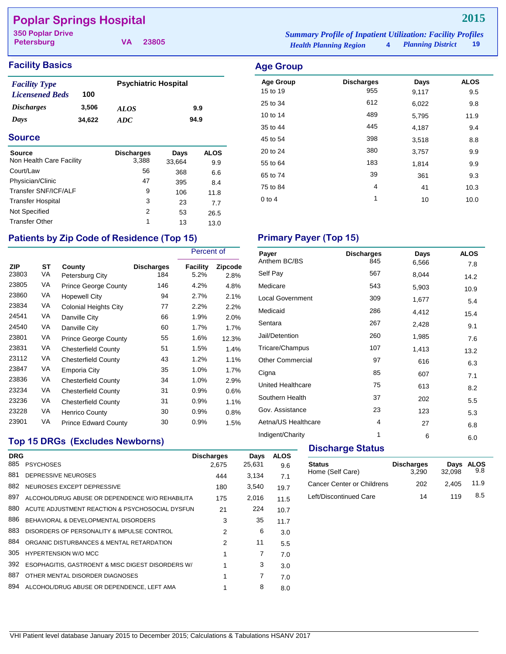## **Poplar Springs Hospital**

**Petersburg**

**VA 23805**

## **Facility Basics Age Group**

| <b>Facility Type</b>     |        | <b>Psychiatric Hospital</b> |      |
|--------------------------|--------|-----------------------------|------|
| <b>Licensened Beds</b>   | 100    |                             |      |
| <i><b>Discharges</b></i> | 3,506  | <i>ALOS</i>                 | 9.9  |
| Days                     | 34.622 | ADC.                        | 94.9 |

### **Source**

| <b>Source</b><br>Non Health Care Facility | <b>Discharges</b><br>3,388 | Days<br>33,664 | <b>ALOS</b><br>9.9 |
|-------------------------------------------|----------------------------|----------------|--------------------|
| Court/Law                                 | 56                         | 368            | 6.6                |
| Physician/Clinic                          | 47                         | 395            | 8.4                |
| Transfer SNF/ICF/ALF                      | 9                          | 106            | 11.8               |
| <b>Transfer Hospital</b>                  | 3                          | 23             | 7.7                |
| Not Specified                             | 2                          | 53             | 26.5               |
| <b>Transfer Other</b>                     | 1                          | 13             | 13.0               |

## Patients by Zip Code of Residence (Top 15) Primary Payer (Top 15)

|                     |          |                              |                          | Percent of       |                 |
|---------------------|----------|------------------------------|--------------------------|------------------|-----------------|
| <b>ZIP</b><br>23803 | SТ<br>VA | County<br>Petersburg City    | <b>Discharges</b><br>184 | Facility<br>5.2% | Zipcode<br>2.8% |
| 23805               | VA       | <b>Prince George County</b>  | 146                      | 4.2%             | 4.8%            |
| 23860               | VA       | <b>Hopewell City</b>         | 94                       | 2.7%             | 2.1%            |
| 23834               | VA       | <b>Colonial Heights City</b> | 77                       | 2.2%             | 2.2%            |
| 24541               | VA       | Danville City                | 66                       | 1.9%             | 2.0%            |
| 24540               | VA       | Danville City                | 60                       | 1.7%             | 1.7%            |
| 23801               | VA       | <b>Prince George County</b>  | 55                       | 1.6%             | 12.3%           |
| 23831               | VA       | <b>Chesterfield County</b>   | 51                       | 1.5%             | 1.4%            |
| 23112               | VA       | <b>Chesterfield County</b>   | 43                       | 1.2%             | 1.1%            |
| 23847               | VA       | Emporia City                 | 35                       | 1.0%             | 1.7%            |
| 23836               | VA       | <b>Chesterfield County</b>   | 34                       | 1.0%             | 2.9%            |
| 23234               | VA       | <b>Chesterfield County</b>   | 31                       | 0.9%             | 0.6%            |
| 23236               | VA       | <b>Chesterfield County</b>   | 31                       | 0.9%             | 1.1%            |
| 23228               | VA       | Henrico County               | 30                       | 0.9%             | 0.8%            |
| 23901               | VA       | <b>Prince Edward County</b>  | 30                       | 0.9%             | 1.5%            |

## *Health Planning Region* **4** *Planning District* **19 350 Poplar Drive** *Summary Profile of Inpatient Utilization: Facility Profiles*

| $\sim$           |                   |       |             |
|------------------|-------------------|-------|-------------|
| <b>Age Group</b> | <b>Discharges</b> | Days  | <b>ALOS</b> |
| 15 to 19         | 955               | 9,117 | 9.5         |
| 25 to 34         | 612               | 6,022 | 9.8         |
| 10 to 14         | 489               | 5,795 | 11.9        |
| 35 to 44         | 445               | 4,187 | 9.4         |
| 45 to 54         | 398               | 3,518 | 8.8         |
| 20 to 24         | 380               | 3,757 | 9.9         |
| 55 to 64         | 183               | 1,814 | 9.9         |
| 65 to 74         | 39                | 361   | 9.3         |
| 75 to 84         | 4                 | 41    | 10.3        |
| $0$ to 4         | 1                 | 10    | 10.0        |
|                  |                   |       |             |

| <b>Discharges</b> | Days  | <b>ALOS</b> |
|-------------------|-------|-------------|
|                   |       | 7.8         |
| 567               | 8,044 | 14.2        |
| 543               | 5,903 | 10.9        |
| 309               | 1,677 | 5.4         |
| 286               | 4,412 | 15.4        |
| 267               | 2,428 | 9.1         |
| 260               | 1,985 | 7.6         |
| 107               | 1,413 | 13.2        |
| 97                | 616   | 6.3         |
| 85                | 607   | 7.1         |
| 75                | 613   | 8.2         |
| 37                | 202   | 5.5         |
| 23                | 123   | 5.3         |
| 4                 | 27    | 6.8         |
| 1                 | 6     | 6.0         |
|                   | 845   | 6,566       |

## **Top 15 DRGs (Excludes Newborns)**

| <b>DRG</b> |                                                   | <b>Discharges</b> | Days   | <b>ALOS</b> |
|------------|---------------------------------------------------|-------------------|--------|-------------|
| 885        | <b>PSYCHOSES</b>                                  | 2.675             | 25,631 | 9.6         |
| 881        | DEPRESSIVE NEUROSES                               | 444               | 3,134  | 7.1         |
| 882        | NEUROSES EXCEPT DEPRESSIVE                        | 180               | 3,540  | 19.7        |
| 897        | ALCOHOL/DRUG ABUSE OR DEPENDENCE W/O REHABILITA   | 175               | 2,016  | 11.5        |
| 880        | ACUTE ADJUSTMENT REACTION & PSYCHOSOCIAL DYSFUN   | 21                | 224    | 10.7        |
| 886        | BEHAVIORAL & DEVELOPMENTAL DISORDERS              | 3                 | 35     | 11.7        |
| 883        | DISORDERS OF PERSONALITY & IMPULSE CONTROL        | 2                 | 6      | 3.0         |
| 884        | ORGANIC DISTURBANCES & MENTAL RETARDATION         | 2                 | 11     | 5.5         |
| 305        | <b>HYPERTENSION W/O MCC</b>                       | 1                 | 7      | 7.0         |
| 392        | ESOPHAGITIS, GASTROENT & MISC DIGEST DISORDERS W/ | 1                 | 3      | 3.0         |
| 887        | OTHER MENTAL DISORDER DIAGNOSES                   |                   | 7      | 7.0         |
| 894        | ALCOHOL/DRUG ABUSE OR DEPENDENCE. LEFT AMA        |                   | 8      | 8.0         |
|            |                                                   |                   |        |             |

#### **Discharge Status**

| <b>Status</b><br>Home (Self Care) | <b>Discharges</b><br>3.290 | 32.098 | Days ALOS<br>9.8 |
|-----------------------------------|----------------------------|--------|------------------|
| <b>Cancer Center or Childrens</b> | 202                        | 2.405  | 11.9             |
| Left/Discontinued Care            | 14                         | 119    | 8.5              |

## **2015**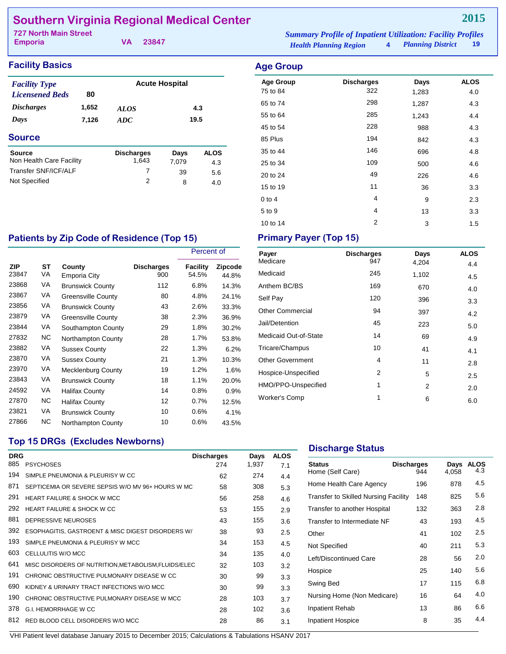## **Southern Virginia Regional Medical Center**

| 727 North Main Street |          | <b>Summary Profile of Inpatient Utilization: Facility Profiles</b> |                        |  |
|-----------------------|----------|--------------------------------------------------------------------|------------------------|--|
| <b>Emporia</b>        | VA 23847 | <i>Health Planning Region</i>                                      | 4 Planning District 19 |  |

## **Facility Basics Age Group**

| <b>Facility Type</b>              |       |                   | <b>Acute Hospital</b> |             |  |
|-----------------------------------|-------|-------------------|-----------------------|-------------|--|
| <b>Licensened Beds</b>            | 80    |                   |                       |             |  |
| <i><b>Discharges</b></i><br>1,652 |       | <b>ALOS</b>       | 4.3                   |             |  |
| Days                              | 7,126 | ADC               | 19.5                  |             |  |
| <b>Source</b>                     |       |                   |                       |             |  |
| <b>Source</b>                     |       | <b>Discharges</b> | Days                  | <b>ALOS</b> |  |
| Non Health Care Facility          |       | 1.643             | 7.079                 | 4.3         |  |
| Transfer SNF/ICF/ALF              |       | 7                 | 39                    | 5.6         |  |
| Not Specified                     |       | 2                 | 8                     | 4.0         |  |

| <b>Discharges</b><br>Days<br><b>Age Group</b><br>322<br>75 to 84<br>1,283<br>298<br>65 to 74<br>1,287<br>285<br>55 to 64<br>1,243 |             |
|-----------------------------------------------------------------------------------------------------------------------------------|-------------|
|                                                                                                                                   | <b>ALOS</b> |
|                                                                                                                                   | 4.0         |
|                                                                                                                                   | 4.3         |
|                                                                                                                                   | 4.4         |
| 228<br>45 to 54<br>988                                                                                                            | 4.3         |
| 194<br>85 Plus<br>842                                                                                                             | 4.3         |
| 146<br>35 to 44<br>696                                                                                                            | 4.8         |
| 109<br>25 to 34<br>500                                                                                                            | 4.6         |
| 49<br>20 to 24<br>226                                                                                                             | 4.6         |
| 11<br>15 to 19<br>36                                                                                                              | 3.3         |
| 4<br>$0$ to 4<br>9                                                                                                                | 2.3         |
| 4<br>5 to 9<br>13                                                                                                                 | 3.3         |
| 2<br>10 to 14<br>3                                                                                                                | 1.5         |

## Patients by Zip Code of Residence (Top 15) **Primary Payer (Top 15)**

|              |          |                           |                          | Percent of               |                         |
|--------------|----------|---------------------------|--------------------------|--------------------------|-------------------------|
| ZIP<br>23847 | ST<br>VA | County<br>Emporia City    | <b>Discharges</b><br>900 | <b>Facility</b><br>54.5% | <b>Zipcode</b><br>44.8% |
| 23868        | VA       | <b>Brunswick County</b>   | 112                      | 6.8%                     | 14.3%                   |
| 23867        | VA       | <b>Greensville County</b> | 80                       | 4.8%                     | 24.1%                   |
| 23856        | VA       | <b>Brunswick County</b>   | 43                       | 2.6%                     | 33.3%                   |
| 23879        | VA       | <b>Greensville County</b> | 38                       | 2.3%                     | 36.9%                   |
| 23844        | VA       | Southampton County        | 29                       | 1.8%                     | 30.2%                   |
| 27832        | NC.      | Northampton County        | 28                       | 1.7%                     | 53.8%                   |
| 23882        | VA       | <b>Sussex County</b>      | 22                       | 1.3%                     | 6.2%                    |
| 23870        | VA       | <b>Sussex County</b>      | 21                       | 1.3%                     | 10.3%                   |
| 23970        | VA       | Mecklenburg County        | 19                       | 1.2%                     | 1.6%                    |
| 23843        | VA       | <b>Brunswick County</b>   | 18                       | 1.1%                     | 20.0%                   |
| 24592        | VA       | Halifax County            | 14                       | 0.8%                     | 0.9%                    |
| 27870        | NC.      | <b>Halifax County</b>     | 12                       | 0.7%                     | 12.5%                   |
| 23821        | VA       | <b>Brunswick County</b>   | 10                       | 0.6%                     | 4.1%                    |
| 27866        | ΝC       | Northampton County        | 10                       | 0.6%                     | 43.5%                   |

| Payer                   | <b>Discharges</b> | Days  | <b>ALOS</b> |
|-------------------------|-------------------|-------|-------------|
| Medicare                | 947               | 4,204 | 4.4         |
| Medicaid                | 245               | 1,102 | 4.5         |
| Anthem BC/BS            | 169               | 670   | 4.0         |
| Self Pay                | 120               | 396   | 3.3         |
| <b>Other Commercial</b> | 94                | 397   | 4.2         |
| Jail/Detention          | 45                | 223   | 5.0         |
| Medicaid Out-of-State   | 14                | 69    | 4.9         |
| Tricare/Champus         | 10                | 41    | 4.1         |
| <b>Other Government</b> | 4                 | 11    | 2.8         |
| Hospice-Unspecified     | 2                 | 5     | 2.5         |
| HMO/PPO-Unspecified     | 1                 | 2     | 2.0         |
| <b>Worker's Comp</b>    | 1                 | 6     | 6.0         |

## **Top 15 DRGs (Excludes Newborns)**

| <b>DRG</b><br>885 | <b>PSYCHOSES</b>                                     | <b>Discharges</b><br>274 | Days<br>1,937 | <b>ALOS</b><br>7.1 |
|-------------------|------------------------------------------------------|--------------------------|---------------|--------------------|
| 194               | SIMPLE PNEUMONIA & PLEURISY W CC                     | 62                       | 274           | 4.4                |
| 871               | SEPTICEMIA OR SEVERE SEPSIS W/O MV 96+ HOURS W MC    | 58                       | 308           | 5.3                |
| 291               | <b>HEART FAILURE &amp; SHOCK W MCC</b>               | 56                       | 258           | 4.6                |
| 292               | HEART FAILURE & SHOCK WICC                           | 53                       | 155           | 2.9                |
| 881               | DEPRESSIVE NEUROSES                                  | 43                       | 155           | 3.6                |
| 392               | ESOPHAGITIS, GASTROENT & MISC DIGEST DISORDERS W/    | 38                       | 93            | 2.5                |
| 193               | SIMPLE PNEUMONIA & PLEURISY W MCC                    | 34                       | 153           | 4.5                |
| 603               | CELLULITIS W/O MCC                                   | 34                       | 135           | 4.0                |
| 641               | MISC DISORDERS OF NUTRITION, METABOLISM, FLUIDS/ELEC | 32                       | 103           | 3.2                |
| 191               | CHRONIC OBSTRUCTIVE PULMONARY DISEASE W CC           | 30                       | 99            | 3.3                |
| 690               | KIDNEY & URINARY TRACT INFECTIONS W/O MCC            | 30                       | 99            | 3.3                |
| 190               | CHRONIC OBSTRUCTIVE PULMONARY DISEASE W MCC          | 28                       | 103           | 3.7                |
| 378               | G I HEMORRHAGE W CC                                  | 28                       | 102           | 3.6                |
| 812               | RED BLOOD CELL DISORDERS W/O MCC                     | 28                       | 86            | 3.1                |
|                   |                                                      |                          |               |                    |

## **Discharge Status**

| <b>Status</b><br>Home (Self Care)           | Discharges<br>944 | Days<br>4.058 | <b>ALOS</b><br>4.3 |
|---------------------------------------------|-------------------|---------------|--------------------|
| Home Health Care Agency                     | 196               | 878           | 4.5                |
| <b>Transfer to Skilled Nursing Facility</b> | 148               | 825           | 5.6                |
| Transfer to another Hospital                | 132               | 363           | 2.8                |
| Transfer to Intermediate NF                 | 43                | 193           | 4.5                |
| Other                                       | 41                | 102           | 2.5                |
| Not Specified                               | 40                | 211           | 5.3                |
| Left/Discontinued Care                      | 28                | 56            | 2.0                |
| Hospice                                     | 25                | 140           | 5.6                |
| Swing Bed                                   | 17                | 115           | 6.8                |
| Nursing Home (Non Medicare)                 | 16                | 64            | 4.0                |
| <b>Inpatient Rehab</b>                      | 13                | 86            | 6.6                |
| <b>Inpatient Hospice</b>                    | 8                 | 35            | 4.4                |